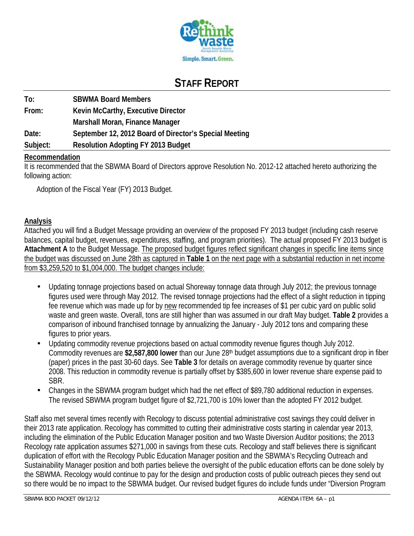

# **STAFF REPORT**

| To:      | <b>SBWMA Board Members</b>                             |
|----------|--------------------------------------------------------|
| From:    | Kevin McCarthy, Executive Director                     |
|          | Marshall Moran, Finance Manager                        |
| Date:    | September 12, 2012 Board of Director's Special Meeting |
| Subject: | <b>Resolution Adopting FY 2013 Budget</b>              |

#### **Recommendation**

It is recommended that the SBWMA Board of Directors approve Resolution No. 2012-12 attached hereto authorizing the following action:

Adoption of the Fiscal Year (FY) 2013 Budget.

#### **Analysis**

Attached you will find a Budget Message providing an overview of the proposed FY 2013 budget (including cash reserve balances, capital budget, revenues, expenditures, staffing, and program priorities). The actual proposed FY 2013 budget is **Attachment A** to the Budget Message. The proposed budget figures reflect significant changes in specific line items since the budget was discussed on June 28th as captured in **Table 1** on the next page with a substantial reduction in net income from \$3,259,520 to \$1,004,000. The budget changes include:

- Updating tonnage projections based on actual Shoreway tonnage data through July 2012; the previous tonnage figures used were through May 2012. The revised tonnage projections had the effect of a slight reduction in tipping fee revenue which was made up for by new recommended tip fee increases of \$1 per cubic yard on public solid waste and green waste. Overall, tons are still higher than was assumed in our draft May budget. **Table 2** provides a comparison of inbound franchised tonnage by annualizing the January - July 2012 tons and comparing these figures to prior years.
- Updating commodity revenue projections based on actual commodity revenue figures though July 2012. Commodity revenues are **\$2,587,800 lower** than our June 28th budget assumptions due to a significant drop in fiber (paper) prices in the past 30-60 days. See **Table 3** for details on average commodity revenue by quarter since 2008. This reduction in commodity revenue is partially offset by \$385,600 in lower revenue share expense paid to SBR.
- Changes in the SBWMA program budget which had the net effect of \$89,780 additional reduction in expenses. The revised SBWMA program budget figure of \$2,721,700 is 10% lower than the adopted FY 2012 budget.

Staff also met several times recently with Recology to discuss potential administrative cost savings they could deliver in their 2013 rate application. Recology has committed to cutting their administrative costs starting in calendar year 2013, including the elimination of the Public Education Manager position and two Waste Diversion Auditor positions; the 2013 Recology rate application assumes \$271,000 in savings from these cuts. Recology and staff believes there is significant duplication of effort with the Recology Public Education Manager position and the SBWMA's Recycling Outreach and Sustainability Manager position and both parties believe the oversight of the public education efforts can be done solely by the SBWMA. Recology would continue to pay for the design and production costs of public outreach pieces they send out so there would be no impact to the SBWMA budget. Our revised budget figures do include funds under "Diversion Program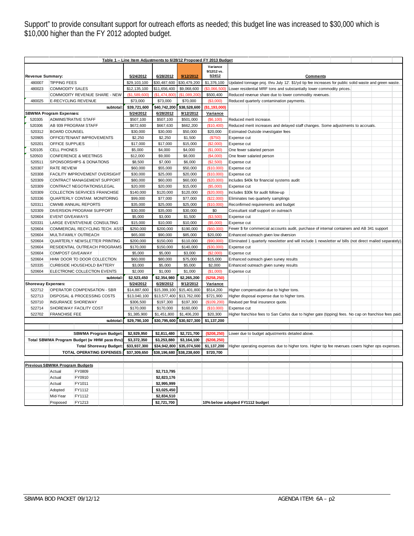Support" to provide consultant support for outreach efforts as needed; this budget line was increased to \$30,000 which is \$10,000 higher than the FY 2012 adopted budget.

|                                           |                                              | Table 1 - Line Item Adjustments to 6/28/12 Proposed FY 2013 Budget |              |              |               |                                                                                                          |
|-------------------------------------------|----------------------------------------------|--------------------------------------------------------------------|--------------|--------------|---------------|----------------------------------------------------------------------------------------------------------|
|                                           |                                              |                                                                    |              |              | Variance      |                                                                                                          |
|                                           |                                              |                                                                    |              |              | 9/12/12 vs.   |                                                                                                          |
| <b>Revenue Summary:</b>                   |                                              | 5/24/2012                                                          | 6/28/2012    | 9/12/2012    | 5/24/12       | <b>Comments</b>                                                                                          |
| 480007                                    | <b>TIPPING FEES</b>                          | \$29,103,100                                                       | \$30,487,600 | \$30,479,200 | \$1,376,100   | Updated tonnage proj. thru July 12'. \$1/yd tip fee increases for public solid waste and green waste.    |
| 480023                                    | <b>COMMODITY SALES</b>                       | \$12,135,100                                                       | \$11,656,400 | \$9,068,600  | (\$3,066,500  | Lower residential MRF tons and substantially lower commodity prices.                                     |
|                                           | COMMODITY REVENUE SHARE - NEW                | (S1.589.600)                                                       | \$1,474,800  | \$1.089.200  | \$500,400     | Reduced revenue share due to lower commodity revenues.                                                   |
| 480025                                    | E-RECYCLING REVENUE                          | \$73,000                                                           | \$73,000     | \$70,000     | (\$3,000)     | Reduced quarterly contamination payments.                                                                |
|                                           | subtotal                                     | \$39,721,600                                                       | \$40,742,200 | \$38,528,600 | (\$1,193,000  |                                                                                                          |
|                                           | <b>SBWMA Program Expenses:</b>               | 5/24/2012                                                          | 6/28/2012    | 9/12/2012    | Variance      |                                                                                                          |
| 520305                                    | <b>ADMINISTRATIVE STAFF</b>                  | \$507,100                                                          | \$507,100    | \$501,000    | (\$6,100)     | Reduced merit increase.                                                                                  |
| 520306                                    | AB 939 PROGRAM STAFF                         | \$672,600                                                          | \$667,630    | \$662,200    | (\$10,400)    | Reduced merit increases and delayed staff changes. Some adjustments to accruals.                         |
| 520312                                    | <b>BOARD COUNSEL</b>                         | \$30,000                                                           | \$30,000     | \$50,000     | \$20,000      | <b>Estimated Outside investigater fees</b>                                                               |
| 520905                                    | OFFICE/TENANT IMPROVEMENTS                   | \$2,250                                                            | \$2,250      | \$1,500      | (S750)        | Expense cut                                                                                              |
| 520201                                    | OFFICE SUPPLIES                              | \$17,000                                                           | \$17,000     | \$15,000     | (\$2,000)     | Expense cut                                                                                              |
| 520105                                    | <b>CELL PHONES</b>                           | \$5,000                                                            | \$4,000      | \$4,000      | (\$1,000)     | One fewer salaried person                                                                                |
| 520503                                    | <b>CONFERENCE &amp; MEETINGS</b>             | \$12,000                                                           | \$9,000      | \$8,000      | (\$4,000)     | One fewer salaried person                                                                                |
| 520511                                    | SPONSORSHIPS & DONATIONS                     | \$8,500                                                            | \$7,000      | \$6,000      | (S2,500)      | Expense cut                                                                                              |
| 520307                                    | <b>RATE REVIEW</b>                           | \$60,000                                                           | \$55,000     | \$50,000     | (\$10,000)    | Expense cut                                                                                              |
| 520308                                    | FACILITY IMPROVEMENT OVERSIGHT               | \$30,000                                                           | \$25,000     | \$20,000     | (\$10,000)    | Expense cut                                                                                              |
| 520309                                    | CONTRACT MANAGEMENT SUPPORT                  | \$80,000                                                           | \$60,000     | \$60,000     | (\$20,000)    | Includes \$40k for financial systems audit                                                               |
| 520309                                    | CONTRACT NEGOTIATIONS/LEGAL                  | \$20,000                                                           | \$20,000     | \$15,000     | (\$5,000)     | Expense cut                                                                                              |
| 520309                                    | COLLECTION SERVICES FRANCHISE                | \$140,000                                                          | \$120,000    | \$120,000    | (\$20,000)    | Includes \$30k for audit follow-up                                                                       |
| 520336                                    | QUARTERLY CONTAM. MONITORING                 | \$99,000                                                           | \$77,000     | \$77,000     | (\$22,000)    | Eliminates two quarterly samplings                                                                       |
| 520311                                    | <b>CIWMB ANNUAL REPORTS</b>                  | \$35,000                                                           | \$25,000     | \$25,000     | (\$10,000)    | Reconfirmed requirements and budget                                                                      |
| 520309                                    | DIVERSION PROGRAM SUPPORT                    | \$30,000                                                           | \$35,000     | \$30,000     | \$0           | Consultant staff support on outreach                                                                     |
| 520604                                    | <b>EVENT GIVEAWAYS</b>                       | \$5,000                                                            | \$3,000      | \$1,500      | (\$3,500)     | Expense cut                                                                                              |
| 520331                                    | LARGE EVENT/VENUE CONSULTING                 | \$15,000                                                           | \$10,000     | \$10,000     | (\$5,000)     | Expense cut                                                                                              |
| 520604<br>COMMERCIAL RECYCLING TECH. ASS' |                                              | \$250,000                                                          | \$200,000    | \$190,000    | (\$60,000)    | Fewer \$ for commercial accounts audit, purchase of internal containers and AB 341 support               |
| 520604                                    | MULTI-FAMILY OUTREACH                        | \$65,000                                                           | \$90,000     | \$85,000     | \$20,000      | Enhanced outreach given low diversion                                                                    |
| 520604                                    | QUARTERLY NEWSLETTER PRINTING                | \$200,000                                                          | \$150,000    | \$110,000    | (\$90,000)    | Eliminated 1 quarterly newsletter and will include 1 newsletter w/ bills (not direct mailed separately). |
| 520604                                    | RESIDENTIAL OUTREACH PROGRAMS                | \$170,000                                                          | \$150,000    | \$140,000    | (S30,000)     | Expense cut                                                                                              |
| 520604                                    | <b>COMPOST GIVEAWAY</b>                      | \$5,000                                                            | \$5,000      | \$3,000      | (\$2,000)     | Expense cut                                                                                              |
| 520604                                    | HHW DOOR TO DOOR COLLECTION                  | \$60,000                                                           | \$80,000     | \$75,000     | \$15,000      | Enhanced outreach given survey results                                                                   |
| 520335                                    | <b>CURBSIDE HOUSEHOLD BATTERY</b>            | \$3,000                                                            | \$5,000      | \$5,000      | \$2,000       | Enhanced outreach given survey results                                                                   |
| 520604                                    | ELECTRONIC COLLECTION EVENTS                 | \$2,000                                                            | \$1,000      | \$1,000      | (\$1,000)     | Expense cut                                                                                              |
|                                           | subtotal                                     | \$2,523,450                                                        | \$2,354,980  | \$2,265,200  | (\$258, 250)  |                                                                                                          |
| <b>Shoreway Expenses:</b>                 |                                              | 5/24/2012                                                          | 6/28/2012    | 9/12/2012    | Variance      |                                                                                                          |
| 522712                                    | OPERATOR COMPENSATION - SBR                  | \$14,887,600                                                       | \$15,399,100 | \$15,401,800 | \$514,200     | Higher compensation due to higher tons.                                                                  |
| 522713                                    | DISPOSAL & PROCESSING COSTS                  | \$13,040,100                                                       | \$13,577,400 | \$13,762,000 | \$721,900     | Higher disposal expense due to higher tons.                                                              |
| 520710                                    | <b>INSURANCE SHOREWAY</b>                    | \$306,500                                                          | \$197,300    | \$197,300    | (\$109,200)   | Revised per final insurance quote.                                                                       |
| 522714                                    | SHOREWAY FACILITY COST                       | \$170,000                                                          | \$170,000    | \$160,000    | (\$10,000)    | Expense cut                                                                                              |
| 522702                                    | <b>FRANCHISE FEE</b>                         | \$1,385,900                                                        | \$1,451,800  | \$1,406,200  | \$20,300      | Higher franchise fees to San Carlos due to higher gate (tipping) fees. No cap on franchise fees paid.    |
|                                           | subtotal                                     | \$29,790,100                                                       | \$30,795,600 | \$30,927,300 | \$1,137,200   |                                                                                                          |
|                                           |                                              |                                                                    |              |              |               |                                                                                                          |
|                                           | <b>SBWMA Program Budget</b>                  | \$2,929,950                                                        | \$2,811,480  | \$2,721,700  | ( \$208, 250) | Lower due to budget adjustments detailed above.                                                          |
|                                           | Total SBWMA Program Budget (w HHW pass thru) | \$3,372,350                                                        | \$3,253,880  | \$3,164,100  | (\$208, 250)  |                                                                                                          |
|                                           | <b>Total Shoreway Budget</b>                 | \$33,937,300                                                       | \$34,942,800 | \$35,074,500 | \$1,137,200   | Higher operating expenses due to higher tons. Higher tip fee revenues covers higher ops expenses.        |
| TOTAL OPERATING EXPENSES                  |                                              | \$37,309,650                                                       | \$38,196,680 | \$38,238,600 | \$720,700     |                                                                                                          |
|                                           |                                              |                                                                    |              |              |               |                                                                                                          |
| <b>Previous SBWMA Program Budgets</b>     |                                              |                                                                    |              |              |               |                                                                                                          |
|                                           | FY0809<br>Actual                             |                                                                    | \$2,713,795  |              |               |                                                                                                          |
|                                           | FY0910<br>Actual                             |                                                                    | \$2,823,176  |              |               |                                                                                                          |
|                                           | Actual<br>FY1011                             |                                                                    | \$2,995,999  |              |               |                                                                                                          |
|                                           | Adopted<br>FY1112                            |                                                                    | \$3,025,450  |              |               |                                                                                                          |
|                                           | FY1112<br>Mid-Year                           |                                                                    | \$2,834,510  |              |               |                                                                                                          |
|                                           | Proposed<br>FY1213                           |                                                                    | \$2,721,700  |              |               | 10% below adopted FY1112 budget                                                                          |
|                                           |                                              |                                                                    |              |              |               |                                                                                                          |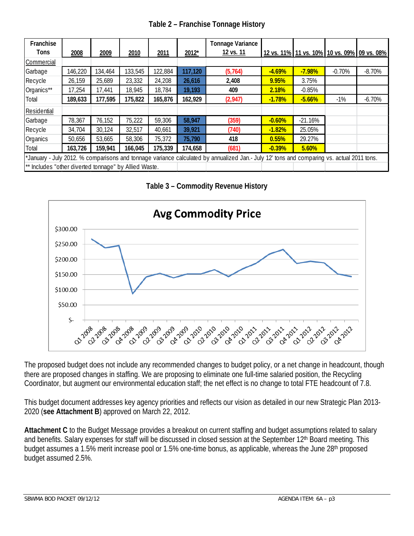| Table 2 - Franchise Tonnage History |  |  |
|-------------------------------------|--|--|
|-------------------------------------|--|--|

| Franchise                                             |         |         |         |         |         | <b>Tonnage Variance</b>                                                                                                                   |          |           |                                             |          |
|-------------------------------------------------------|---------|---------|---------|---------|---------|-------------------------------------------------------------------------------------------------------------------------------------------|----------|-----------|---------------------------------------------|----------|
| Tons                                                  | 2008    | 2009    | 2010    | 2011    | 2012*   | 12 vs. 11                                                                                                                                 |          |           | 12 vs. 11% 11 vs. 10% 10 vs. 09% 09 vs. 08% |          |
| Commercial                                            |         |         |         |         |         |                                                                                                                                           |          |           |                                             |          |
| Garbage                                               | 146,220 | 134,464 | 133,545 | 122,884 | 117,120 | (5, 764)                                                                                                                                  | $-4.69%$ | $-7.98%$  | $-0.70%$                                    | $-8.70%$ |
| Recycle                                               | 26,159  | 25,689  | 23,332  | 24,208  | 26,616  | 2,408                                                                                                                                     | 9.95%    | 3.75%     |                                             |          |
| Organics**                                            | 17,254  | 17,441  | 18,945  | 18,784  | 19,193  | 409                                                                                                                                       | 2.18%    | $-0.85%$  |                                             |          |
| Total                                                 | 189,633 | 177,595 | 175,822 | 165,876 | 162,929 | (2,947)                                                                                                                                   | $-1.78%$ | $-5.66%$  | $-1\%$                                      | $-6.70%$ |
| Residential                                           |         |         |         |         |         |                                                                                                                                           |          |           |                                             |          |
| Garbage                                               | 78,367  | 76,152  | 75,222  | 59,306  | 58,947  | (359)                                                                                                                                     | $-0.60%$ | $-21.16%$ |                                             |          |
| Recycle                                               | 34,704  | 30,124  | 32,517  | 40,661  | 39,921  | (740)                                                                                                                                     | $-1.82%$ | 25.05%    |                                             |          |
| Organics                                              | 50,656  | 53,665  | 58,306  | 75,372  | 75,790  | 418                                                                                                                                       | 0.55%    | 29.27%    |                                             |          |
| Total                                                 | 163,726 | 159,941 | 166,045 | 175,339 | 174,658 | (681)                                                                                                                                     | $-0.39%$ | 5.60%     |                                             |          |
|                                                       |         |         |         |         |         | *January - July 2012. % comparisons and tonnage variance calculated by annualized Jan.- July 12' tons and comparing vs. actual 2011 tons. |          |           |                                             |          |
| ** Includes "other diverted tonnage" by Allied Waste. |         |         |         |         |         |                                                                                                                                           |          |           |                                             |          |

**Table 3 – Commodity Revenue History**



The proposed budget does not include any recommended changes to budget policy, or a net change in headcount, though there are proposed changes in staffing. We are proposing to eliminate one full-time salaried position, the Recycling Coordinator, but augment our environmental education staff; the net effect is no change to total FTE headcount of 7.8.

This budget document addresses key agency priorities and reflects our vision as detailed in our new Strategic Plan 2013- 2020 (**see Attachment B**) approved on March 22, 2012.

**Attachment C** to the Budget Message provides a breakout on current staffing and budget assumptions related to salary and benefits. Salary expenses for staff will be discussed in closed session at the September 12<sup>th</sup> Board meeting. This budget assumes a 1.5% merit increase pool or 1.5% one-time bonus, as applicable, whereas the June 28<sup>th</sup> proposed budget assumed 2.5%.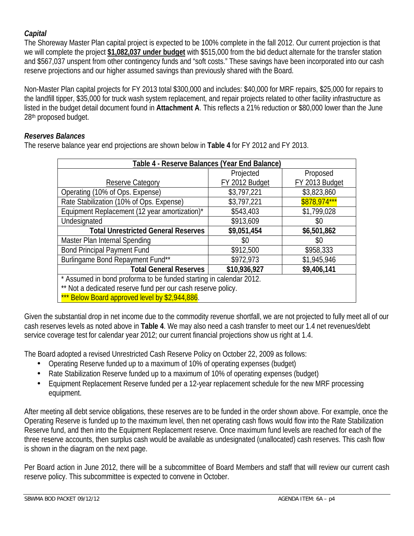## *Capital*

The Shoreway Master Plan capital project is expected to be 100% complete in the fall 2012. Our current projection is that we will complete the project **\$1,082,037 under budget** with \$515,000 from the bid deduct alternate for the transfer station and \$567,037 unspent from other contingency funds and "soft costs." These savings have been incorporated into our cash reserve projections and our higher assumed savings than previously shared with the Board.

Non-Master Plan capital projects for FY 2013 total \$300,000 and includes: \$40,000 for MRF repairs, \$25,000 for repairs to the landfill tipper, \$35,000 for truck wash system replacement, and repair projects related to other facility infrastructure as listed in the budget detail document found in **Attachment A**. This reflects a 21% reduction or \$80,000 lower than the June 28th proposed budget.

### *Reserves Balances*

The reserve balance year end projections are shown below in **Table 4** for FY 2012 and FY 2013.

| Table 4 - Reserve Balances (Year End Balance)                      |                |                |  |  |  |  |  |  |  |  |
|--------------------------------------------------------------------|----------------|----------------|--|--|--|--|--|--|--|--|
|                                                                    | Projected      | Proposed       |  |  |  |  |  |  |  |  |
| Reserve Category                                                   | FY 2012 Budget | FY 2013 Budget |  |  |  |  |  |  |  |  |
| Operating (10% of Ops. Expense)                                    | \$3,797,221    | \$3,823,860    |  |  |  |  |  |  |  |  |
| Rate Stabilization (10% of Ops. Expense)                           | \$3,797,221    | \$878,974***   |  |  |  |  |  |  |  |  |
| Equipment Replacement (12 year amortization)*                      | \$543,403      | \$1,799,028    |  |  |  |  |  |  |  |  |
| Undesignated                                                       | \$913,609      | \$0            |  |  |  |  |  |  |  |  |
| <b>Total Unrestricted General Reserves</b>                         | \$9,051,454    | \$6,501,862    |  |  |  |  |  |  |  |  |
| Master Plan Internal Spending                                      | \$0            | \$0            |  |  |  |  |  |  |  |  |
| <b>Bond Principal Payment Fund</b>                                 | \$912,500      | \$958,333      |  |  |  |  |  |  |  |  |
| Burlingame Bond Repayment Fund**                                   | \$972,973      | \$1,945,946    |  |  |  |  |  |  |  |  |
| <b>Total General Reserves</b>                                      | \$10,936,927   | \$9,406,141    |  |  |  |  |  |  |  |  |
| * Assumed in bond proforma to be funded starting in calendar 2012. |                |                |  |  |  |  |  |  |  |  |
| ** Not a dedicated reserve fund per our cash reserve policy.       |                |                |  |  |  |  |  |  |  |  |
| *** Below Board approved level by \$2,944,886.                     |                |                |  |  |  |  |  |  |  |  |

Given the substantial drop in net income due to the commodity revenue shortfall, we are not projected to fully meet all of our cash reserves levels as noted above in **Table 4**. We may also need a cash transfer to meet our 1.4 net revenues/debt service coverage test for calendar year 2012; our current financial projections show us right at 1.4.

The Board adopted a revised Unrestricted Cash Reserve Policy on October 22, 2009 as follows:

- Operating Reserve funded up to a maximum of 10% of operating expenses (budget)
- Rate Stabilization Reserve funded up to a maximum of 10% of operating expenses (budget)
- Equipment Replacement Reserve funded per a 12-year replacement schedule for the new MRF processing  $\mathbf{L}$ equipment.

After meeting all debt service obligations, these reserves are to be funded in the order shown above. For example, once the Operating Reserve is funded up to the maximum level, then net operating cash flows would flow into the Rate Stabilization Reserve fund, and then into the Equipment Replacement reserve. Once maximum fund levels are reached for each of the three reserve accounts, then surplus cash would be available as undesignated (unallocated) cash reserves. This cash flow is shown in the diagram on the next page.

Per Board action in June 2012, there will be a subcommittee of Board Members and staff that will review our current cash reserve policy. This subcommittee is expected to convene in October.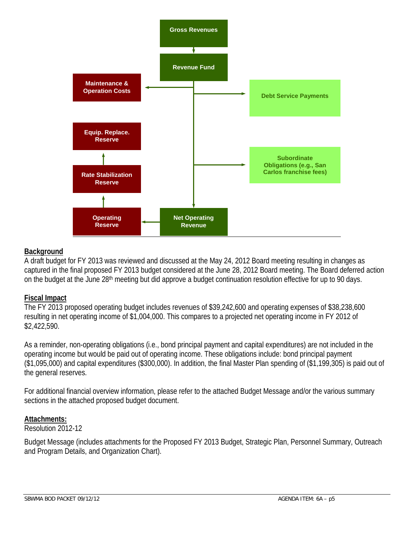

#### **Background**

A draft budget for FY 2013 was reviewed and discussed at the May 24, 2012 Board meeting resulting in changes as captured in the final proposed FY 2013 budget considered at the June 28, 2012 Board meeting. The Board deferred action on the budget at the June 28<sup>th</sup> meeting but did approve a budget continuation resolution effective for up to 90 days.

#### **Fiscal Impact**

The FY 2013 proposed operating budget includes revenues of \$39,242,600 and operating expenses of \$38,238,600 resulting in net operating income of \$1,004,000. This compares to a projected net operating income in FY 2012 of \$2,422,590.

As a reminder, non-operating obligations (i.e., bond principal payment and capital expenditures) are not included in the operating income but would be paid out of operating income. These obligations include: bond principal payment (\$1,095,000) and capital expenditures (\$300,000). In addition, the final Master Plan spending of (\$1,199,305) is paid out of the general reserves.

For additional financial overview information, please refer to the attached Budget Message and/or the various summary sections in the attached proposed budget document.

#### **Attachments:**

Resolution 2012-12

Budget Message (includes attachments for the Proposed FY 2013 Budget, Strategic Plan, Personnel Summary, Outreach and Program Details, and Organization Chart).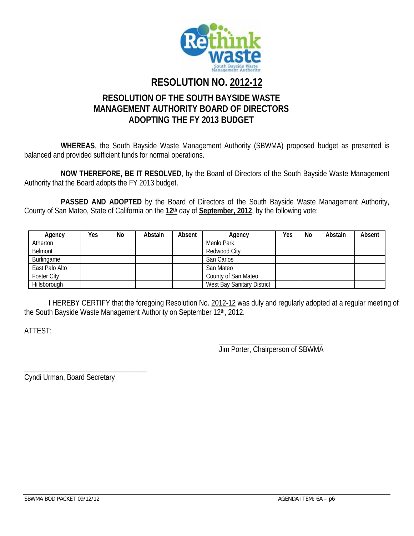

# **RESOLUTION NO. 2012-12**

# **RESOLUTION OF THE SOUTH BAYSIDE WASTE MANAGEMENT AUTHORITY BOARD OF DIRECTORS ADOPTING THE FY 2013 BUDGET**

**WHEREAS**, the South Bayside Waste Management Authority (SBWMA) proposed budget as presented is balanced and provided sufficient funds for normal operations.

**NOW THEREFORE, BE IT RESOLVED**, by the Board of Directors of the South Bayside Waste Management Authority that the Board adopts the FY 2013 budget.

PASSED AND ADOPTED by the Board of Directors of the South Bayside Waste Management Authority, County of San Mateo, State of California on the **12th** day of **September, 2012**, by the following vote:

| Agency         | <u>Yes</u> | $No$ | Abstain | Absent | <b>Agency</b>              | <u>Yes</u> | No | Abstain | <b>Absent</b> |
|----------------|------------|------|---------|--------|----------------------------|------------|----|---------|---------------|
| Atherton       |            |      |         |        | Menlo Park                 |            |    |         |               |
| Belmont        |            |      |         |        | Redwood City               |            |    |         |               |
| Burlingame     |            |      |         |        | San Carlos                 |            |    |         |               |
| East Palo Alto |            |      |         |        | San Mateo                  |            |    |         |               |
| Foster City    |            |      |         |        | County of San Mateo        |            |    |         |               |
| Hillsborough   |            |      |         |        | West Bay Sanitary District |            |    |         |               |

I HEREBY CERTIFY that the foregoing Resolution No. 2012-12 was duly and regularly adopted at a regular meeting of the South Bayside Waste Management Authority on September 12<sup>th</sup>, 2012.

ATTEST:

\_\_\_\_\_\_\_\_\_\_\_\_\_\_\_\_\_\_\_\_\_\_\_\_\_\_\_\_ Jim Porter, Chairperson of SBWMA

Cyndi Urman, Board Secretary

\_\_\_\_\_\_\_\_\_\_\_\_\_\_\_\_\_\_\_\_\_\_\_\_\_\_\_\_\_\_\_\_\_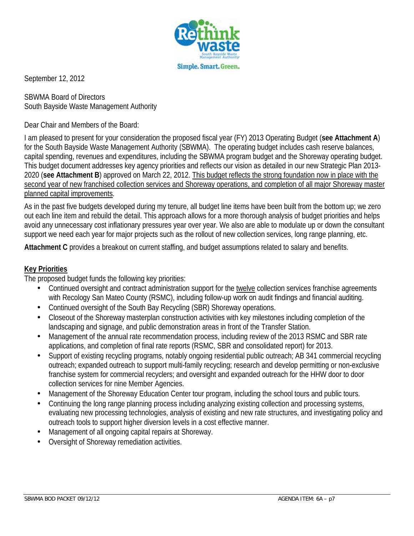

September 12, 2012

SBWMA Board of Directors South Bayside Waste Management Authority

#### Dear Chair and Members of the Board:

I am pleased to present for your consideration the proposed fiscal year (FY) 2013 Operating Budget (**see Attachment A**) for the South Bayside Waste Management Authority (SBWMA). The operating budget includes cash reserve balances, capital spending, revenues and expenditures, including the SBWMA program budget and the Shoreway operating budget. This budget document addresses key agency priorities and reflects our vision as detailed in our new Strategic Plan 2013- 2020 (**see Attachment B**) approved on March 22, 2012. This budget reflects the strong foundation now in place with the second year of new franchised collection services and Shoreway operations, and completion of all major Shoreway master planned capital improvements.

As in the past five budgets developed during my tenure, all budget line items have been built from the bottom up; we zero out each line item and rebuild the detail. This approach allows for a more thorough analysis of budget priorities and helps avoid any unnecessary cost inflationary pressures year over year. We also are able to modulate up or down the consultant support we need each year for major projects such as the rollout of new collection services, long range planning, etc.

**Attachment C** provides a breakout on current staffing, and budget assumptions related to salary and benefits.

#### **Key Priorities**

The proposed budget funds the following key priorities:

- Continued oversight and contract administration support for the twelve collection services franchise agreements with Recology San Mateo County (RSMC), including follow-up work on audit findings and financial auditing.
- Continued oversight of the South Bay Recycling (SBR) Shoreway operations.
- Closeout of the Shoreway masterplan construction activities with key milestones including completion of the landscaping and signage, and public demonstration areas in front of the Transfer Station.
- Management of the annual rate recommendation process, including review of the 2013 RSMC and SBR rate applications, and completion of final rate reports (RSMC, SBR and consolidated report) for 2013.
- Support of existing recycling programs, notably ongoing residential public outreach; AB 341 commercial recycling outreach; expanded outreach to support multi-family recycling; research and develop permitting or non-exclusive franchise system for commercial recyclers; and oversight and expanded outreach for the HHW door to door collection services for nine Member Agencies.
- Management of the Shoreway Education Center tour program, including the school tours and public tours.
- Continuing the long range planning process including analyzing existing collection and processing systems, evaluating new processing technologies, analysis of existing and new rate structures, and investigating policy and outreach tools to support higher diversion levels in a cost effective manner.
- Management of all ongoing capital repairs at Shoreway.
- Oversight of Shoreway remediation activities.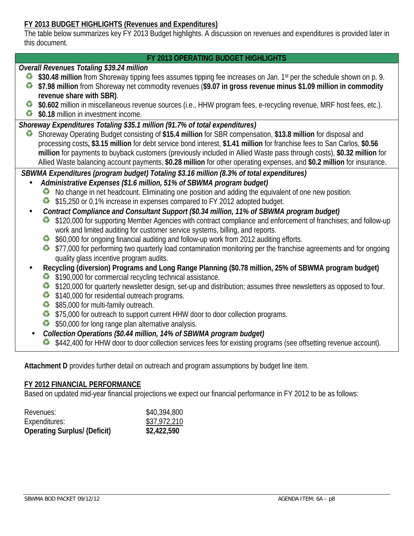### **FY 2013 BUDGET HIGHLIGHTS (Revenues and Expenditures)**

The table below summarizes key FY 2013 Budget highlights. A discussion on revenues and expenditures is provided later in this document.

#### **FY 2013 OPERATING BUDGET HIGHLIGHTS**

#### *Overall Revenues Totaling \$39.24 million*

- **\$30.48 million** from Shoreway tipping fees assumes tipping fee increases on Jan. 1<sup>st</sup> per the schedule shown on p. 9.
- **\$7.98 million** from Shoreway net commodity revenues (**\$9.07 in gross revenue minus \$1.09 million in commodity revenue share with SBR)**.
- **\$0.602** million in miscellaneous revenue sources (i.e., HHW program fees, e-recycling revenue, MRF host fees, etc.).
- **\$0.18** million in investment income.

#### *Shoreway Expenditures Totaling \$35.1 million (91.7% of total expenditures)*

 Shoreway Operating Budget consisting of **\$15.4 million** for SBR compensation, **\$13.8 million** for disposal and ≎ processing costs**, \$3.15 million** for debt service bond interest, **\$1.41 million** for franchise fees to San Carlos, **\$0.56 million** for payments to buyback customers (previously included in Allied Waste pass through costs), **\$0.32 million** for Allied Waste balancing account payments, **\$0.28 million** for other operating expenses, and **\$0.2 million** for insurance.

*SBWMA Expenditures (program budget) Totaling \$3.16 million (8.3% of total expenditures)*

- *Administrative Expenses (\$1.6 million, 51% of SBWMA program budget)*
	- No change in net headcount. Eliminating one position and adding the equivalent of one new position.
	- \$15,250 or 0.1% increase in expenses compared to FY 2012 adopted budget.
- *Contract Compliance and Consultant Support (\$0.34 million, 11% of SBWMA program budget)*
	- \$120,000 for supporting Member Agencies with contract compliance and enforcement of franchises; and follow-up work and limited auditing for customer service systems, billing, and reports.
	- \$60,000 for ongoing financial auditing and follow-up work from 2012 auditing efforts.
	- \$377,000 for performing two quarterly load contamination monitoring per the franchise agreements and for ongoing quality glass incentive program audits.
- **Recycling (diversion) Programs and Long Range Planning (\$0.78 million, 25% of SBWMA program budget)**
	- \$190,000 for commercial recycling technical assistance.
	- \$120,000 for quarterly newsletter design, set-up and distribution; assumes three newsletters as opposed to four.
	- \$140,000 for residential outreach programs.
	- \$85,000 for multi-family outreach.
	- \$75,000 for outreach to support current HHW door to door collection programs.
	- \$50,000 for long range plan alternative analysis.

### *Collection Operations (\$0.44 million, 14% of SBWMA program budget)*

 $\bullet$  \$442,400 for HHW door to door collection services fees for existing programs (see offsetting revenue account).

**Attachment D** provides further detail on outreach and program assumptions by budget line item.

#### **FY 2012 FINANCIAL PERFORMANCE**

Based on updated mid-year financial projections we expect our financial performance in FY 2012 to be as follows:

| Revenues:                           | \$40,394,800 |
|-------------------------------------|--------------|
| Expenditures:                       | \$37,972,210 |
| <b>Operating Surplus/ (Deficit)</b> | \$2,422,590  |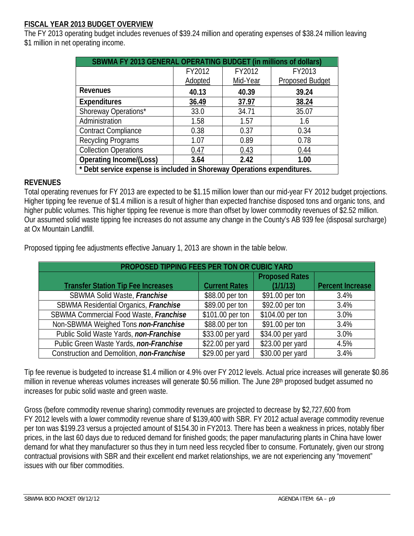### **FISCAL YEAR 2013 BUDGET OVERVIEW**

The FY 2013 operating budget includes revenues of \$39.24 million and operating expenses of \$38.24 million leaving \$1 million in net operating income.

| SBWMA FY 2013 GENERAL OPERATING BUDGET (in millions of dollars)         |         |          |                        |  |  |  |  |  |  |  |  |
|-------------------------------------------------------------------------|---------|----------|------------------------|--|--|--|--|--|--|--|--|
|                                                                         | FY2012  | FY2012   | FY2013                 |  |  |  |  |  |  |  |  |
|                                                                         | Adopted | Mid-Year | <b>Proposed Budget</b> |  |  |  |  |  |  |  |  |
| <b>Revenues</b>                                                         | 40.13   | 40.39    | 39.24                  |  |  |  |  |  |  |  |  |
| <b>Expenditures</b>                                                     | 36.49   | 37.97    | 38.24                  |  |  |  |  |  |  |  |  |
| Shoreway Operations*                                                    | 33.0    | 34.71    | 35.07                  |  |  |  |  |  |  |  |  |
| Administration                                                          | 1.58    | 1.57     | 1.6                    |  |  |  |  |  |  |  |  |
| <b>Contract Compliance</b>                                              | 0.38    | 0.37     | 0.34                   |  |  |  |  |  |  |  |  |
| Recycling Programs                                                      | 1.07    | 0.89     | 0.78                   |  |  |  |  |  |  |  |  |
| <b>Collection Operations</b>                                            | 0.47    | 0.43     | 0.44                   |  |  |  |  |  |  |  |  |
| <b>Operating Income/(Loss)</b>                                          | 3.64    | 2.42     | 1.00                   |  |  |  |  |  |  |  |  |
| * Debt service expense is included in Shoreway Operations expenditures. |         |          |                        |  |  |  |  |  |  |  |  |

#### **REVENUES**

Total operating revenues for FY 2013 are expected to be \$1.15 million lower than our mid-year FY 2012 budget projections. Higher tipping fee revenue of \$1.4 million is a result of higher than expected franchise disposed tons and organic tons, and higher public volumes. This higher tipping fee revenue is more than offset by lower commodity revenues of \$2.52 million. Our assumed solid waste tipping fee increases do not assume any change in the County's AB 939 fee (disposal surcharge) at Ox Mountain Landfill.

Proposed tipping fee adjustments effective January 1, 2013 are shown in the table below.

| PROPOSED TIPPING FEES PER TON OR CUBIC YARD |                      |                       |                         |  |  |  |  |  |  |  |  |  |
|---------------------------------------------|----------------------|-----------------------|-------------------------|--|--|--|--|--|--|--|--|--|
|                                             |                      | <b>Proposed Rates</b> |                         |  |  |  |  |  |  |  |  |  |
| <b>Transfer Station Tip Fee Increases</b>   | <b>Current Rates</b> | (1/1/13)              | <b>Percent Increase</b> |  |  |  |  |  |  |  |  |  |
| SBWMA Solid Waste, Franchise                | \$88.00 per ton      | \$91.00 per ton       | 3.4%                    |  |  |  |  |  |  |  |  |  |
| SBWMA Residential Organics, Franchise       | \$89.00 per ton      | \$92.00 per ton       | 3.4%                    |  |  |  |  |  |  |  |  |  |
| SBWMA Commercial Food Waste, Franchise      | \$101.00 per ton     | \$104.00 per ton      | 3.0%                    |  |  |  |  |  |  |  |  |  |
| Non-SBWMA Weighed Tons non-Franchise        | \$88.00 per ton      | \$91.00 per ton       | 3.4%                    |  |  |  |  |  |  |  |  |  |
| Public Solid Waste Yards, non-Franchise     | \$33.00 per yard     | \$34.00 per yard      | 3.0%                    |  |  |  |  |  |  |  |  |  |
| Public Green Waste Yards, non-Franchise     | \$22.00 per yard     | \$23.00 per yard      | 4.5%                    |  |  |  |  |  |  |  |  |  |
| Construction and Demolition, non-Franchise  | \$29.00 per yard     | \$30.00 per yard      | 3.4%                    |  |  |  |  |  |  |  |  |  |

Tip fee revenue is budgeted to increase \$1.4 million or 4.9% over FY 2012 levels. Actual price increases will generate \$0.86 million in revenue whereas volumes increases will generate \$0.56 million. The June 28<sup>th</sup> proposed budget assumed no increases for pubic solid waste and green waste.

Gross (before commodity revenue sharing) commodity revenues are projected to decrease by \$2,727,600 from FY 2012 levels with a lower commodity revenue share of \$139,400 with SBR. FY 2012 actual average commodity revenue per ton was \$199.23 versus a projected amount of \$154.30 in FY2013. There has been a weakness in prices, notably fiber prices, in the last 60 days due to reduced demand for finished goods; the paper manufacturing plants in China have lower demand for what they manufacturer so thus they in turn need less recycled fiber to consume. Fortunately, given our strong contractual provisions with SBR and their excellent end market relationships, we are not experiencing any "movement" issues with our fiber commodities.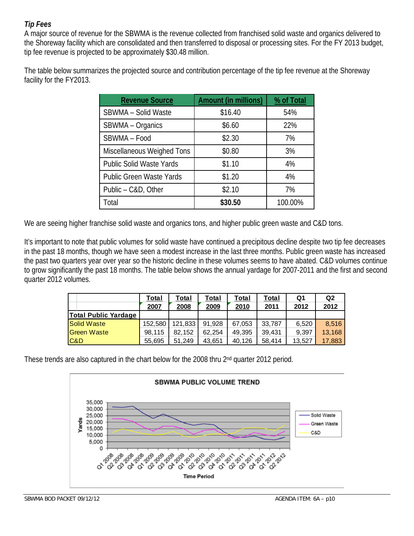## *Tip Fees*

A major source of revenue for the SBWMA is the revenue collected from franchised solid waste and organics delivered to the Shoreway facility which are consolidated and then transferred to disposal or processing sites. For the FY 2013 budget, tip fee revenue is projected to be approximately \$30.48 million.

The table below summarizes the projected source and contribution percentage of the tip fee revenue at the Shoreway facility for the FY2013.

| <b>Revenue Source</b>           | <b>Amount (in millions)</b> | % of Total |
|---------------------------------|-----------------------------|------------|
| SBWMA - Solid Waste             | \$16.40                     | 54%        |
| SBWMA - Organics                | \$6.60                      | 22%        |
| SBWMA - Food                    | \$2.30                      | 7%         |
| Miscellaneous Weighed Tons      | \$0.80                      | 3%         |
| <b>Public Solid Waste Yards</b> | \$1.10                      | 4%         |
| <b>Public Green Waste Yards</b> | \$1.20                      | 4%         |
| Public - C&D, Other             | \$2.10                      | 7%         |
| Total                           | \$30.50                     | 100.00%    |

We are seeing higher franchise solid waste and organics tons, and higher public green waste and C&D tons.

It's important to note that public volumes for solid waste have continued a precipitous decline despite two tip fee decreases in the past 18 months, though we have seen a modest increase in the last three months. Public green waste has increased the past two quarters year over year so the historic decline in these volumes seems to have abated. C&D volumes continue to grow significantly the past 18 months. The table below shows the annual yardage for 2007-2011 and the first and second quarter 2012 volumes.

|                             | Total<br>2007 | Total<br>2008 | Total<br>2009 | Total<br>2010 | Total<br>2011 | Q1<br>2012 | Q <sub>2</sub><br>2012 |
|-----------------------------|---------------|---------------|---------------|---------------|---------------|------------|------------------------|
| <b>Total Public Yardage</b> |               |               |               |               |               |            |                        |
| <b>Solid Waste</b>          | 152.580       | 121,833       | 91.928        | 67,053        | 33.787        | 6,520      | 8.516                  |
| <b>Green Waste</b>          | 98.115        | 82.152        | 62.254        | 49,395        | 39.431        | 9.397      | 13.168                 |
| C&D                         | 55,695        | 51.249        | 43,651        | 40.126        | 58,414        | 13.527     | 17,883                 |

These trends are also captured in the chart below for the 2008 thru 2nd quarter 2012 period.

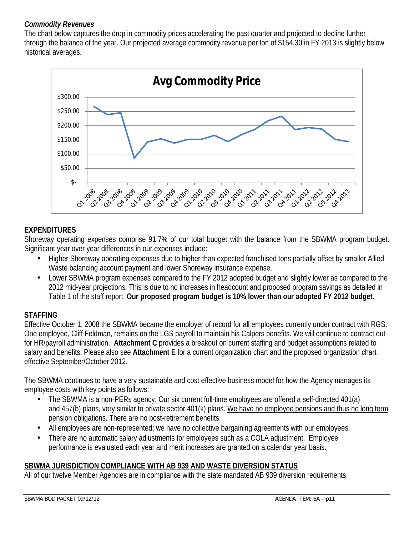### *Commodity Revenues*

The chart below captures the drop in commodity prices accelerating the past quarter and projected to decline further through the balance of the year. Our projected average commodity revenue per ton of \$154.30 in FY 2013 is slightly below historical averages.



## **EXPENDITURES**

Shoreway operating expenses comprise 91.7% of our total budget with the balance from the SBWMA program budget. Significant year over year differences in our expenses include:

- Higher Shoreway operating expenses due to higher than expected franchised tons partially offset by smaller Allied Waste balancing account payment and lower Shoreway insurance expense.
- Lower SBWMA program expenses compared to the FY 2012 adopted budget and slightly lower as compared to the 2012 mid-year projections. This is due to no increases in headcount and proposed program savings as detailed in Table 1 of the staff report. **Our proposed program budget is 10% lower than our adopted FY 2012 budget**.

### **STAFFING**

Effective October 1, 2008 the SBWMA became the employer of record for all employees currently under contract with RGS. One employee, Cliff Feldman, remains on the LGS payroll to maintain his Calpers benefits. We will continue to contract out for HR/payroll administration. **Attachment C** provides a breakout on current staffing and budget assumptions related to salary and benefits. Please also see **Attachment E** for a current organization chart and the proposed organization chart effective September/October 2012.

The SBWMA continues to have a very sustainable and cost effective business model for how the Agency manages its employee costs with key points as follows:

- The SBWMA is a non-PERs agency. Our six current full-time employees are offered a self-directed 401(a) and 457(b) plans, very similar to private sector 401(k) plans. We have no employee pensions and thus no long term pension obligations. There are no post-retirement benefits.
- All employees are non-represented; we have no collective bargaining agreements with our employees.
- There are no automatic salary adjustments for employees such as a COLA adjustment. Employee performance is evaluated each year and merit increases are granted on a calendar year basis.

## **SBWMA JURISDICTION COMPLIANCE WITH AB 939 AND WASTE DIVERSION STATUS**

All of our twelve Member Agencies are in compliance with the state mandated AB 939 diversion requirements.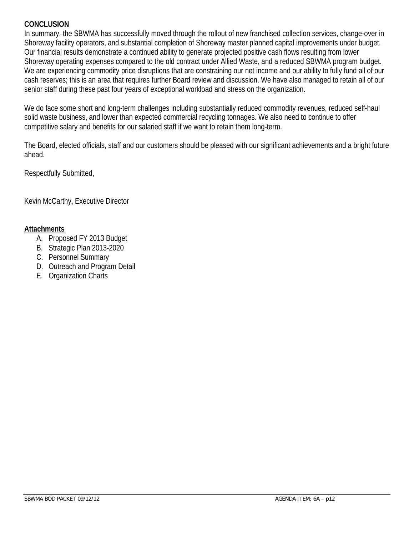#### **CONCLUSION**

In summary, the SBWMA has successfully moved through the rollout of new franchised collection services, change-over in Shoreway facility operators, and substantial completion of Shoreway master planned capital improvements under budget. Our financial results demonstrate a continued ability to generate projected positive cash flows resulting from lower Shoreway operating expenses compared to the old contract under Allied Waste, and a reduced SBWMA program budget. We are experiencing commodity price disruptions that are constraining our net income and our ability to fully fund all of our cash reserves; this is an area that requires further Board review and discussion. We have also managed to retain all of our senior staff during these past four years of exceptional workload and stress on the organization.

We do face some short and long-term challenges including substantially reduced commodity revenues, reduced self-haul solid waste business, and lower than expected commercial recycling tonnages. We also need to continue to offer competitive salary and benefits for our salaried staff if we want to retain them long-term.

The Board, elected officials, staff and our customers should be pleased with our significant achievements and a bright future ahead.

Respectfully Submitted,

Kevin McCarthy, Executive Director

#### **Attachments**

- A. Proposed FY 2013 Budget
- B. Strategic Plan 2013-2020
- C. Personnel Summary
- D. Outreach and Program Detail
- E. Organization Charts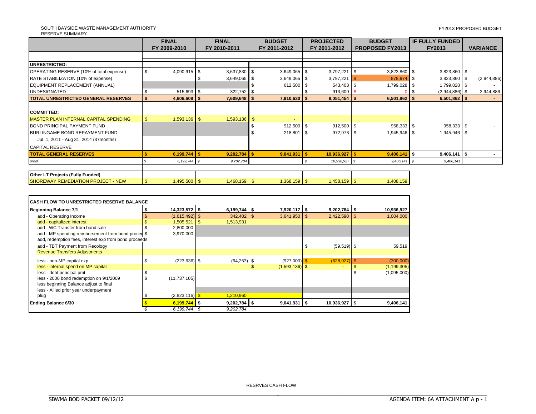#### SOUTH BAYSIDE WASTE MANAGEMENT AUTHORITY RESERVE SUMMARY

|                                              | <b>FINAL</b>  |                | <b>FINAL</b> |                |  | <b>BUDGET</b>  |  | <b>PROJECTED</b> |  | <b>BUDGET</b>          |        | <b>IF FULLY FUNDED</b> |                 |             |
|----------------------------------------------|---------------|----------------|--------------|----------------|--|----------------|--|------------------|--|------------------------|--------|------------------------|-----------------|-------------|
|                                              |               | FY 2009-2010   |              | FY 2010-2011   |  | FY 2011-2012   |  | FY 2011-2012     |  | <b>PROPOSED FY2013</b> | FY2013 |                        | <b>VARIANCE</b> |             |
|                                              |               |                |              |                |  |                |  |                  |  |                        |        |                        |                 |             |
| UNRESTRICTED:                                |               |                |              |                |  |                |  |                  |  |                        |        |                        |                 |             |
| OPERATING RESERVE (10% of total expense)     | - \$          | $4,090,915$ \$ |              | $3,637,830$ \$ |  | $3,649,065$ \$ |  | $3,797,221$ \$   |  | 3,823,860 \$           |        | $3,823,860$ \$         |                 |             |
| RATE STABILIZATON (10% of expense)           |               |                |              | $3,649,065$ \$ |  | $3,649,065$ \$ |  | $3,797,221$ \$   |  | 878,974 \$             |        | 3,823,860              |                 | (2,944,886) |
| EQUIPMENT REPLACEMENT (ANNUAL)               |               |                |              |                |  | 612,500 \$     |  | 543,403 \$       |  | 1,799,028 \$           |        | $1,799,028$ \$         |                 |             |
| <b>UNDESIGNATED</b>                          |               | 515,693 \$     |              | $322,752$ \$   |  |                |  | $913,609$ \$     |  |                        | 0   \$ | $(2,944,886)$ \$       |                 | 2,944,886   |
| TOTAL UNRESTRICTED GENERAL RESERVES          | <b>S</b>      | $4,606,608$ \$ |              | $7,609,648$ \$ |  | 7,910,630 \$   |  | $9,051,454$ \$   |  | $6,501,862$ \$         |        | $6,501,862$ \$         |                 |             |
|                                              |               |                |              |                |  |                |  |                  |  |                        |        |                        |                 |             |
| <b>COMMITTED:</b>                            |               |                |              |                |  |                |  |                  |  |                        |        |                        |                 |             |
| <b>MASTER PLAN INTERNAL CAPITAL SPENDING</b> |               | $1,593,136$ \$ |              | $1,593,136$ \$ |  |                |  |                  |  |                        |        |                        |                 |             |
| <b>BOND PRINCIPAL PAYMENT FUND</b>           |               |                |              |                |  | $912,500$ \$   |  | $912,500$ \$     |  | 958,333 \$             |        | 958,333 \$             |                 |             |
| BURLINGAME BOND REPAYMENT FUND               |               |                |              |                |  | 218,801 \$     |  | 972,973 \$       |  | 1,945,946 \$           |        | 1,945,946 \$           |                 |             |
| Jul. 1, 2011 - Aug 31, 2014 (37months)       |               |                |              |                |  |                |  |                  |  |                        |        |                        |                 |             |
| <b>CAPITAL RESERVE</b>                       |               |                |              |                |  |                |  |                  |  |                        |        |                        |                 |             |
| <b>TOTAL GENERAL RESERVES</b>                |               | $6,199,744$ \$ |              | $9,202,784$ \$ |  | $9,041,931$ \$ |  | 10,936,927       |  | $9,406,141$ \$         |        | $9,406,141$ \$         |                 |             |
| proof                                        |               | 6,199,744 \$   |              | 9,202,784      |  |                |  | 10,936,927 \$    |  | $9,406,141$ \$         |        | 9,406,141              |                 |             |
|                                              |               |                |              |                |  |                |  |                  |  |                        |        |                        |                 |             |
| Other LT Projects (Fully Funded)             |               |                |              |                |  |                |  |                  |  |                        |        |                        |                 |             |
| <b>SHOREWAY REMEDIATION PROJECT - NEW</b>    | $\mathbf{\$}$ | $1,495,500$ \$ |              | $1,468,159$ \$ |  | $1,368,159$ \$ |  | $1,458,159$ \$   |  | 1,408,159              |        |                        |                 |             |

| ICASH FLOW TO UNRESTRICTED RESERVE BALANCE                                                                                                       |   |                        |      |                |  |                  |    |                 |  |               |
|--------------------------------------------------------------------------------------------------------------------------------------------------|---|------------------------|------|----------------|--|------------------|----|-----------------|--|---------------|
| <b>Beginning Balance 7/1</b>                                                                                                                     |   | $14,323,572$ \$        |      | $6,199,744$ \$ |  | $7,920,117$ \$   |    | $9,202,784$ \$  |  | 10,936,927    |
| add - Operating Income                                                                                                                           |   | $(1,615,492)$ \$       |      | $342,402$ \$   |  | 3,641,950        | \$ | $2,422,590$ \$  |  | 1,004,000     |
| add - capitalized interest                                                                                                                       |   | 1,505,521              | - \$ | 1,513,931      |  |                  |    |                 |  |               |
| add - WC Transfer from bond sale<br>add - MP spending reimbursement from bond proces \$<br>add, redemption fees, interest exp from bond proceeds |   | 2,800,000<br>3,970,000 |      |                |  |                  |    |                 |  |               |
|                                                                                                                                                  |   |                        |      |                |  |                  | \$ |                 |  |               |
| add - TBT Payment from Recology<br><b>Revenue Transfers Adjustments</b>                                                                          |   |                        |      |                |  |                  |    | $(59, 519)$ \$  |  | 59,519        |
| less - non-MP capital exp                                                                                                                        |   | $(223, 636)$ \$        |      | $(64, 253)$ \$ |  | $(927,000)$ \$   |    | $(628, 927)$ \$ |  | (300,000)     |
| less - internal spend on MP capital                                                                                                              |   |                        |      |                |  | $(1,593,136)$ \$ |    |                 |  | (1, 199, 305) |
| less - debt principal pmt<br>less - 2000 bond redemption on 9/1/2009<br>less beginning Balance adjust to final                                   | Æ | (11, 737, 105)         |      |                |  |                  |    |                 |  | (1,095,000)   |
| less - Allied prior year underpayment<br>plug                                                                                                    |   | $(2,823,116)$ \$       |      | 1,210,960      |  |                  |    |                 |  |               |
| <b>Ending Balance 6/30</b>                                                                                                                       |   | $6,199,744$ \$         |      | $9,202,784$ \$ |  | $9,041,931$   \$ |    | 10,936,927 \$   |  | 9,406,141     |
|                                                                                                                                                  |   | 6,199,744              | .ა   | 9,202,784      |  |                  |    |                 |  |               |

RESRVES CASH FLOW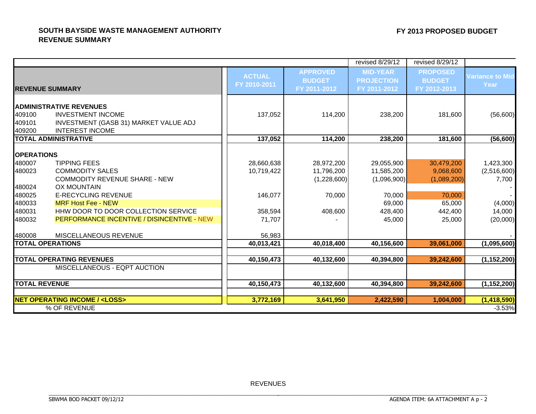#### **SOUTH BAYSIDE WASTE MANAGEMENT AUTHORITYREVENUE SUMMARY**

|                            |                                                                                                                               |                               |                                                  | revised 8/29/12                                      | revised 8/29/12                                  |                                 |
|----------------------------|-------------------------------------------------------------------------------------------------------------------------------|-------------------------------|--------------------------------------------------|------------------------------------------------------|--------------------------------------------------|---------------------------------|
|                            | <b>IREVENUE SUMMARY</b>                                                                                                       | <b>ACTUAL</b><br>FY 2010-2011 | <b>APPROVED</b><br><b>BUDGET</b><br>FY 2011-2012 | <b>MID-YEAR</b><br><b>PROJECTION</b><br>FY 2011-2012 | <b>PROPOSED</b><br><b>BUDGET</b><br>FY 2012-2013 | <b>Variance to Mid-</b><br>Year |
| 409100<br>409101<br>409200 | <b>ADMINISTRATIVE REVENUES</b><br><b>INVESTMENT INCOME</b><br>INVESTMENT (GASB 31) MARKET VALUE ADJ<br><b>INTEREST INCOME</b> | 137,052                       | 114,200                                          | 238,200                                              | 181,600                                          | (56, 600)                       |
|                            | <b>TOTAL ADMINISTRATIVE</b>                                                                                                   | 137,052                       | 114,200                                          | 238,200                                              | 181,600                                          | (56, 600)                       |
| <b>OPERATIONS</b>          |                                                                                                                               |                               |                                                  |                                                      |                                                  |                                 |
| 480007<br>480023           | <b>TIPPING FEES</b><br><b>COMMODITY SALES</b>                                                                                 | 28,660,638<br>10,719,422      | 28,972,200<br>11,796,200                         | 29,055,900<br>11,585,200                             | 30,479,200<br>9,068,600                          | 1,423,300<br>(2,516,600)        |
| 480024                     | <b>COMMODITY REVENUE SHARE - NEW</b><br><b>OX MOUNTAIN</b>                                                                    |                               | (1,228,600)                                      | (1,096,900)                                          | (1,089,200)                                      | 7,700                           |
| 480025                     | <b>E-RECYCLING REVENUE</b>                                                                                                    | 146,077                       | 70,000                                           | 70,000                                               | 70,000                                           |                                 |
| 480033<br>480031           | <b>MRF Host Fee - NEW</b><br>HHW DOOR TO DOOR COLLECTION SERVICE                                                              | 358,594                       | 408,600                                          | 69,000<br>428,400                                    | 65,000<br>442,400                                | (4,000)<br>14,000               |
| 480032                     | PERFORMANCE INCENTIVE / DISINCENTIVE - NEW                                                                                    | 71,707                        |                                                  | 45,000                                               | 25,000                                           | (20,000)                        |
| 480008                     | MISCELLANEOUS REVENUE                                                                                                         | 56,983                        |                                                  |                                                      |                                                  |                                 |
|                            | <b>TOTAL OPERATIONS</b>                                                                                                       | 40,013,421                    | 40,018,400                                       | 40,156,600                                           | 39,061,000                                       | (1,095,600)                     |
|                            | <b>TOTAL OPERATING REVENUES</b>                                                                                               | 40,150,473                    | 40,132,600                                       | 40,394,800                                           | 39,242,600                                       | (1, 152, 200)                   |
|                            | MISCELLANEOUS - EQPT AUCTION                                                                                                  |                               |                                                  |                                                      |                                                  |                                 |
| <b>TOTAL REVENUE</b>       |                                                                                                                               | 40,150,473                    | 40,132,600                                       | 40,394,800                                           | 39,242,600                                       | (1, 152, 200)                   |
|                            | <b>NET OPERATING INCOME / <loss></loss></b>                                                                                   | 3,772,169                     | 3,641,950                                        | 2,422,590                                            | 1,004,000                                        | (1, 418, 590)                   |
|                            | % OF REVENUE                                                                                                                  |                               |                                                  |                                                      |                                                  | $-3.53%$                        |

REVENUES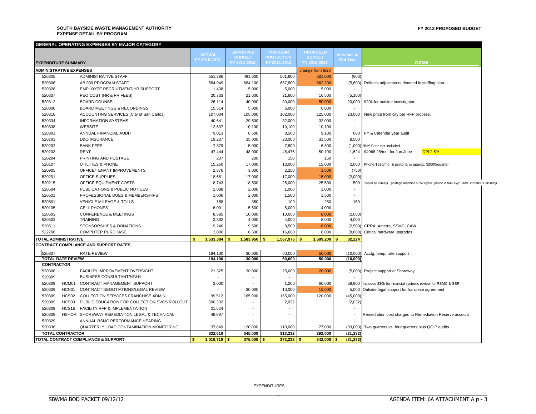#### **SOUTH BAYSIDE WASTE MANAGEMENT AUTHORITY EXPENSE DETAIL BY PROGRAM**

|                   | GENERAL OPERATING EXPENSES BY MAJOR CATEGORY       |               |                |                 |                   |                          |                          |                                                                                                 |
|-------------------|----------------------------------------------------|---------------|----------------|-----------------|-------------------|--------------------------|--------------------------|-------------------------------------------------------------------------------------------------|
|                   |                                                    | <b>ACTUAL</b> |                | <b>APPROVED</b> | <b>MID-YEAR</b>   | <b>PROPOSED</b>          | <b>Variance to</b>       |                                                                                                 |
|                   |                                                    | FY 2010-2011  |                | <b>BUDGET</b>   | <b>PROJECTION</b> | <b>BUDGET</b>            | <b>Mid Year</b>          |                                                                                                 |
|                   | <b>EXPENDITURE SUMMARY</b>                         |               |                | FY 2011-2012    | FY 2011-2012      | FY 2012-2013             |                          | <b>Notes</b>                                                                                    |
|                   | <b>ADMINISTRATIVE EXPENSES</b>                     |               |                |                 |                   | change from 6/28         |                          |                                                                                                 |
| 520305            | <b>ADMINISTRATIVE STAFF</b>                        | 551,386       |                | 491,600         | 501,600           | 501,000                  | (600)                    |                                                                                                 |
| 520306            | AB 939 PROGRAM STAFF                               | 584,949       |                | 684,100         | 667,800           | 662,200                  |                          | (5,600) Reflects adjustments denoted in staffing plan.                                          |
| 520328            | EMPLOYEE RECRUITMENT/HR SUPPORT                    |               | 1,438          | 5,000           | 5,000             | 5,000                    |                          |                                                                                                 |
| 520337            | PEO COST (HR & PR FEES)                            |               | 20,733         | 21,600          | 21,600            | 16,500                   | (5, 100)                 |                                                                                                 |
| 520312            | <b>BOARD COUNSEL</b>                               |               | 26,114         | 40,000          | 30,000            | 50,000                   |                          | 20,000   \$20k for outside investigator                                                         |
| 520300            | BOARD MEETINGS & RECORDINGS                        |               | 15,514         | 5,000           | 6,000             | 6,000                    |                          |                                                                                                 |
| 520310            | ACCOUNTING SERVICES (City of San Carlos)           |               | 107,004        | 105,000         | 102,000           | 125,000                  |                          | 23,000 New price from city per RFP process.                                                     |
| 520334            | <b>INFORMATION SYSTEMS</b>                         |               | 40,641         | 29,500          | 32,000            | 32,000                   |                          |                                                                                                 |
| 520338            | WEBSITE                                            |               | 12,637         | 10,100          | 10,100            | 10,100                   | $\overline{\phantom{a}}$ |                                                                                                 |
| 520301            | ANNUAL FINANCIAL AUDIT                             |               | 9,013          | 8,500           | 8,500             | 9,100                    |                          | 600 FY & Calendar year audit                                                                    |
| 520701            | <b>D&amp;O INSURANCE</b>                           |               | 19,237         | 35,000          | 23,000            | 31,500                   | 8,500                    |                                                                                                 |
| 520202            | <b>BANK FEES</b>                                   |               | 7,879          | 5,000           | 7,800             | 6,800                    |                          | (1,000) BNY Fees not included                                                                   |
| 520203            | <b>RENT</b>                                        |               | 47,444         | 48,000          | 48,476            | 50,100                   |                          | <b>CPI 2.5%</b><br>1,624 \$4068.28/mo. for Jan-June                                             |
| 520204            | PRINTING AND POSTAGE                               |               | 207            | 200             | 150               | 150                      |                          |                                                                                                 |
| 520107            | UTILITIES & PHONE                                  |               | 15,260         | 17,000          | 13,000            | 15,000                   |                          | 2,000 Phone \$520/mo. & janitorial is approx. \$2000/quarter                                    |
| 520905            | OFFICE/TENANT IMPROVEMENTS                         |               | 2,876          | 3,000           | 2,250             | 1,500                    | (750)                    |                                                                                                 |
| 520201            | OFFICE SUPPLIES                                    |               | 18,681         | 17,000          | 17,000            | 15,000                   | (2,000)                  |                                                                                                 |
| 520215            | OFFICE EQUIPMENT COSTS                             |               | 18,743         | 18,500          | 25,000            | 25,500                   | 500                      | Copier \$17360/yr., postage machine \$1527/year, phone is \$4950/yr., and Shoretel is \$1500/yr |
| 520504            | PUBLICATIONS & PUBLIC NOTICES                      |               | 2,088          | 2,000           | 1,000             | 1,000                    |                          |                                                                                                 |
| 520501            | PROFESSIONAL DUES & MEMBERSHIPS                    |               | 1,006          | 2,000           | 1,500             | 1,500                    | $\sim$                   |                                                                                                 |
| 520801            | <b>VEHICLE MILEAGE &amp; TOLLS</b>                 |               | 158            | 350             | 100               | 250                      | 150                      |                                                                                                 |
| 520105            | <b>CELL PHONES</b>                                 |               | 6,091          | 5,500           | 5,000             | 4,000                    |                          |                                                                                                 |
| 520503            | <b>CONFERENCE &amp; MEETINGS</b>                   |               | 8,685          | 10,000          | 10,000            | 8,000                    | (2,000)                  |                                                                                                 |
| 520502            | <b>TRAINING</b>                                    |               | 3,362          | 4,000           | 4,000             | 8,000                    | 4,000                    |                                                                                                 |
| 520511            | SPONSORSHIPS & DONATIONS                           |               | 9,240          | 9,500           | 8,500             | 6,000                    |                          | (2,500) CRRA, Acterra, SSMC, CAW                                                                |
| 522706            | <b>COMPUTER PURCHASE</b>                           |               | 3,000          | 6,500           | 16,600            | 8,000                    |                          | (8,600) Critical hardware upgrades                                                              |
|                   | TOTAL ADMINISTRATIVE                               | 1,533,384     |                | 1,583,950<br>\$ | 1,567,976<br>-5   | 1,599,200<br>\$          | 32,224                   |                                                                                                 |
|                   | CONTRACT COMPLIANCE AND SUPPORT RATES              |               |                |                 |                   |                          |                          |                                                                                                 |
| 520307            | <b>RATE REVIEW</b>                                 | 194.100       |                | 30,000          | 60,000            | 50,000                   |                          | (10,000) Acctg. temp, rate support                                                              |
|                   | <b>TOTAL RATE REVIEW</b>                           | 194.100       |                | 30,000          | 60,000            | 50.000                   | (10,000)                 |                                                                                                 |
| <b>CONTRACTOR</b> |                                                    |               |                |                 |                   |                          |                          |                                                                                                 |
| 520308            | FACILITY IMPROVEMENT OVERSIGHT                     |               | 21,325         | 30,000          | 25,000            | 20,000                   |                          | (5,000) Project support at Shoreway                                                             |
| 520309            | <b>BUSINESS CONSULTANT/HF&amp;H</b>                |               |                |                 | $\blacksquare$    |                          |                          |                                                                                                 |
| 520309            | HCM01<br>CONTRACT MANAGEMENT SUPPORT               |               | 3,000          |                 | 1,200             | 60,000                   |                          | 58,800 Includes \$30k for financial systems review for RSMC & SBR                               |
| 520309            | HCN01<br>CONTRACT NEGOTIATIONS/LEGAL REVIEW        |               |                | 30,000          | 10,000            | 15,000                   |                          | 5,000 Outside legal support for franchise agreement                                             |
| 520309            | HCS02 COLLECTION SERVICES FRANCHISE ADMIN.         |               | 99,512         | 165,000         | 165,000           | 120,000                  | (45,000)                 |                                                                                                 |
| 520309            | HCS03 PUBLIC EDUCATION FOR COLLECTION SVCS ROLLOUT |               | 590,302        |                 | 2,032             |                          | (2,032)                  |                                                                                                 |
| 520309            | HCS1B FACILITY RFP & IMPLEMENTATION                |               | 21,624         |                 |                   |                          |                          |                                                                                                 |
| 520309            | HSHOR SHOREWAY REMEDIATION LEGAL & TECHNICAL       |               | 48,997         |                 |                   |                          |                          | Remediation cost charged to Remediation Reserve account                                         |
| 520329            | ANNUAL RSMC PERFORMANCE HEARING                    |               |                |                 |                   |                          |                          |                                                                                                 |
|                   |                                                    |               |                |                 |                   |                          |                          |                                                                                                 |
| 520336            | QUARTERLY LOAD CONTAMINATION MONITORING            |               | 37,849         | 120,000         | 110,000           | 77,000                   |                          | (33,000) Two quarters vs. four quarters plus QGIP audits                                        |
|                   | <b>TOTAL CONTRACTOR</b>                            | 822,610       |                | 345,000         | 313,232           | 292,000                  | (21, 232)                |                                                                                                 |
|                   | TOTAL CONTRACT COMPLIANCE & SUPPORT                | s             | $1,016,710$ \$ | 375,000         | 373,232<br>Ŝ      | $342,000$ \$<br><b>S</b> | (31, 232)                |                                                                                                 |

EXPENDITURES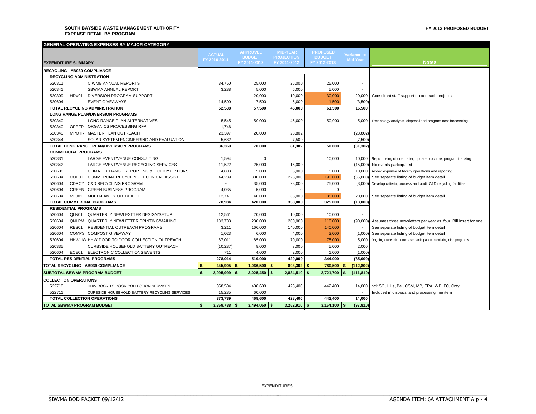#### **SOUTH BAYSIDE WASTE MANAGEMENT AUTHORITY EXPENSE DETAIL BY PROGRAM**

| GENERAL OPERATING EXPENSES BY MAJOR CATEGORY             |                      |                           |                       |                 |                                       |                                                                            |
|----------------------------------------------------------|----------------------|---------------------------|-----------------------|-----------------|---------------------------------------|----------------------------------------------------------------------------|
|                                                          | <b>ACTUAL</b>        | <b>APPROVED</b>           | <b>MID-YEAR</b>       | <b>PROPOSED</b> |                                       |                                                                            |
|                                                          | FY 2010-2011         | <b>BUDGET</b>             | <b>PROJECTION</b>     | <b>BUDGET</b>   | <b>Variance to</b><br><b>Mid Year</b> |                                                                            |
| <b>EXPENDITURE SUMMARY</b>                               |                      | FY 2011-2012              | FY 2011-2012          | FY 2012-2013    |                                       | <b>Notes</b>                                                               |
| <b>RECYCLING - AB939 COMPLIANCE</b>                      |                      |                           |                       |                 |                                       |                                                                            |
| <b>RECYCLING ADMINISTRATION</b>                          |                      |                           |                       |                 |                                       |                                                                            |
| 520311<br><b>CIWMB ANNUAL REPORTS</b>                    | 34,750               | 25,000                    | 25,000                | 25,000          | $\overline{\phantom{a}}$              |                                                                            |
| 520341<br>SBWMA ANNUAL REPORT                            | 3,288                | 5,000                     | 5,000                 | 5,000           | $\blacksquare$                        |                                                                            |
| 520309<br>HDV01<br>DIVERSION PROGRAM SUPPORT             |                      | 20,000                    | 10,000                | 30,000          | 20,000                                | Consultant staff support on outreach projects                              |
| 520604<br><b>EVENT GIVEAWAYS</b>                         | 14,500               | 7,500                     | 5,000                 | 1,500           | (3,500)                               |                                                                            |
| <b>TOTAL RECYCLING ADMINISTRATION</b>                    | 52,538               | 57,500                    | 45,000                | 61,500          | 16,500                                |                                                                            |
| <b>LONG RANGE PLAN/DIVERSION PROGRAMS</b>                |                      |                           |                       |                 |                                       |                                                                            |
| 520340<br>LONG RANGE PLAN ALTERNATIVES                   | 5,545                | 50,000                    | 45,000                | 50,000          | 5,000                                 | Technology analysis, disposal and program cost forecasting                 |
| OPREP ORGANICS PROCESSING RFP<br>520340                  | 1,746                |                           |                       |                 |                                       |                                                                            |
| 520340<br>MPOTR MASTER PLAN OUTREACH                     | 23,397               | 20,000                    | 28,802                |                 | (28, 802)                             |                                                                            |
| 520344<br>SOLAR SYSTEM ENGINEERING AND EVALUATION        | 5,682                |                           | 7,500                 |                 | (7,500)                               |                                                                            |
| TOTAL LONG RANGE PLAN/DIVERSION PROGRAMS                 | 36.369               | 70,000                    | 81.302                | 50.000          | (31, 302)                             |                                                                            |
| <b>COMMERCIAL PROGRAMS</b>                               |                      |                           |                       |                 |                                       |                                                                            |
| 520331<br>LARGE EVENT/VENUE CONSULTING                   | 1,594                | $\Omega$                  |                       | 10,000          |                                       | 10,000 Repurposing of one trailer, update brochure, program tracking       |
| 520342<br>LARGE EVENT/VENUE RECYCLING SERVICES           | 11,522               | 25,000                    | 15,000                |                 |                                       | (15,000) No events participated                                            |
| 520608<br>CLIMATE CHANGE REPORTING & POLICY OPTIONS      | 4,803                | 15,000                    | 5,000                 | 15,000          | 10,000                                | Added expense of facility operations and reporting                         |
| COE01<br>COMMERCIAL RECYCLING TECHNICAL ASSIST<br>520604 | 44,289               | 300,000                   | 225,000               | 190,000         |                                       | (35,000) See separate listing of budget item detail                        |
| CDRCY C&D RECYCLING PROGRAM<br>520604                    |                      | 35,000                    | 28,000                | 25,000          |                                       | (3,000) Develop criteria, process and audit C&D recycling facilities       |
| GREEN GREEN BUSINESS PROGRAM<br>520604                   | 4,035                | 5,000                     | $\Omega$              | 0               |                                       |                                                                            |
| 520604<br><b>MF001</b><br>MULTI-FAMILY OUTREACH          | 12,741               | 40,000                    | 65,000                | 85,000          | 20,000                                | See separate listing of budget item detail                                 |
| <b>TOTAL COMMERCIAL PROGRAMS</b>                         | 78,984               | 420,000                   | 338,000               | 325,000         | (13,000)                              |                                                                            |
| <b>RESIDENTIAL PROGRAMS</b>                              |                      |                           |                       |                 |                                       |                                                                            |
| 520604<br>QLN01 QUARTERLY NEWLESTTER DESIGN/SETUP        | 12,561               | 20,000                    | 10,000                | 10,000          |                                       |                                                                            |
| 520604<br>QNLPM QUARTERLY NEWLETTER PRINTING/MAILING     | 183,783              | 230,000                   | 200,000               | 110,000         |                                       | (90,000) Assumes three newsletters per year vs. four. Bill insert for one. |
| 520604<br>RES01 RESIDENTIAL OUTREACH PROGRAMS            | 3,211                | 166,000                   | 140,000               | 140,000         |                                       | See separate listing of budget item detail                                 |
| COMPS COMPOST GIVEAWAY<br>520604                         | 1,023                | 6,000                     | 4,000                 | 3,000           |                                       | (1,000) See separate listing of budget item detail                         |
| 520604<br>HHWUW HHW DOOR TO DOOR COLLECTION OUTREACH     | 87,011               | 85,000                    | 70,000                | 75,000          | 5,000                                 | Ongoing outreach to increase participation in existing nine programs       |
| 520335<br><b>CURBSIDE HOUSEHOLD BATTERY OUTREACH</b>     | (10, 287)            | 8,000                     | 3,000                 | 5,000           | 2,000                                 |                                                                            |
| 520604<br>ECE01 ELECTRONIC COLLECTIONS EVENTS            | 711                  | 4,000                     | 2,000                 | 1,000           | (1,000)                               |                                                                            |
| TOTAL RESIDENTIAL PROGRAMS                               | 278,014              | 519,000                   | 429,000               | 344,000         | (85,000)                              |                                                                            |
| <b>TOTAL RECYCLING - AB939 COMPLIANCE</b>                | <b>s</b><br>445.905  | $\mathbf{s}$<br>1.066.500 | $893.302$ \$<br>l \$  | 780.500 \$      | (112, 802)                            |                                                                            |
| <b>SUBTOTAL SBWMA PROGRAM BUDGET</b>                     | \$<br>2,995,999      | 3,025,450<br>\$           | 2,834,510<br><b>S</b> | 2,721,700       | \$<br>(111, 810)                      |                                                                            |
| <b>COLLECTION OPERATIONS</b>                             |                      |                           |                       |                 |                                       |                                                                            |
| 522710<br>HHW DOOR TO DOOR COLLECTION SERVICES           | 358,504              | 408,600                   | 428,400               | 442,400         |                                       | 14,000 incl: SC, Hills, Bel, CSM, MP, EPA, WB, FC, Cnty,                   |
| 522711<br>CURBSIDE HOUSEHOLD BATTERY RECYCLING SERVICES  | 15,285               | 60,000                    |                       |                 | $\overline{\phantom{a}}$              | Included in disposal and processing line item                              |
| <b>TOTAL COLLECTION OPERATIONS</b>                       | 373,789              | 468,600                   | 428,400               | 442,400         | 14,000                                |                                                                            |
| <b>TOTAL SBWMA PROGRAM BUDGET</b>                        | \$<br>$3,369,788$ \$ | $3,494,050$ \$            | $3,262,910$ \$        | $3,164,100$ \$  | (97, 810)                             |                                                                            |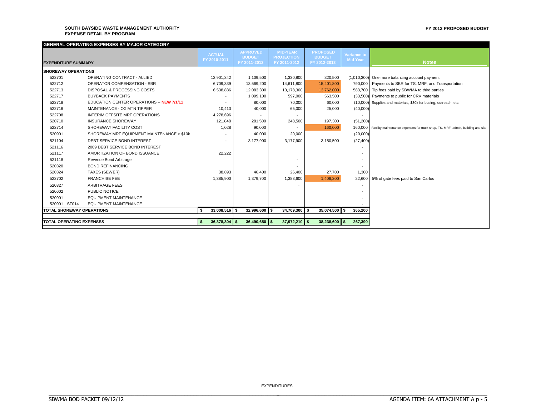#### **SOUTH BAYSIDE WASTE MANAGEMENT AUTHORITY EXPENSE DETAIL BY PROGRAM**

#### **FY 2013 PROPOSED BUDGET**

|                                  | GENERAL OPERATING EXPENSES BY MAJOR CATEGORY |     |                 |                               |                                   |                 |                               |                 |                                                                                          |
|----------------------------------|----------------------------------------------|-----|-----------------|-------------------------------|-----------------------------------|-----------------|-------------------------------|-----------------|------------------------------------------------------------------------------------------|
|                                  |                                              |     | <b>ACTUAL</b>   | <b>APPROVED</b>               | <b>MID-YEAR</b>                   |                 | <b>PROPOSED</b>               | Variance to     |                                                                                          |
| <b>EXPENDITURE SUMMARY</b>       |                                              |     | FY 2010-2011    | <b>BUDGET</b><br>FY 2011-2012 | <b>PROJECTION</b><br>FY 2011-2012 |                 | <b>BUDGET</b><br>FY 2012-2013 | <b>Mid Year</b> | <b>Notes</b>                                                                             |
|                                  |                                              |     |                 |                               |                                   |                 |                               |                 |                                                                                          |
| <b>ISHOREWAY OPERATIONS</b>      |                                              |     |                 |                               |                                   |                 |                               |                 |                                                                                          |
| 522701                           | OPERATING CONTRACT - ALLIED                  |     | 13,901,342      | 1,109,500                     |                                   | 1,330,800       | 320,500                       |                 | (1,010,300) One more balancing account payment                                           |
| 522712                           | <b>OPERATOR COMPENSATION - SBR</b>           |     | 6,709,339       | 13,569,200                    |                                   | 14,611,800      | 15.401.800                    |                 | 790,000 Payments to SBR for TS, MRF, and Transportation                                  |
| 522713                           | DISPOSAL & PROCESSING COSTS                  |     | 6,538,836       | 12,083,300                    |                                   | 13,178,300      | 13,762,000                    |                 | 583,700 Tip fees paid by SBWMA to third parties                                          |
| 522717                           | <b>BUYBACK PAYMENTS</b>                      |     |                 | 1,099,100                     |                                   | 597,000         | 563,500                       |                 | (33,500) Payments to public for CRV materials                                            |
| 522718                           | EDUCATION CENTER OPERATIONS -- NEW 7/1/11    |     |                 | 80,000                        |                                   | 70,000          | 60,000                        |                 | (10,000) Supplies and materials, \$30k for busing, outreach, etc.                        |
| 522716                           | MAINTENANCE - OX MTN TIPPER                  |     | 10,413          | 40,000                        |                                   | 65,000          | 25,000                        | (40,000)        |                                                                                          |
| 522708                           | INTERIM OFFSITE MRF OPERATIONS               |     | 4,278,696       |                               |                                   |                 |                               |                 |                                                                                          |
| 520710                           | <b>INSURANCE SHOREWAY</b>                    |     | 121,848         | 281,500                       |                                   | 248,500         | 197,300                       | (51, 200)       |                                                                                          |
| 522714                           | SHOREWAY FACILITY COST                       |     | 1,028           | 90,000                        |                                   |                 | 160,000                       |                 | 160,000 Facility maintenance expenses for truck shop, TS, MRF, admin, building and site. |
| 520901                           | SHOREWAY MRF EQUIPMENT MAINTENANCE > \$10k   |     |                 | 40,000                        |                                   | 20,000          |                               | (20,000)        |                                                                                          |
| 521104                           | DEBT SERVICE BOND INTEREST                   |     |                 | 3,177,900                     |                                   | 3,177,900       | 3,150,500                     | (27, 400)       |                                                                                          |
| 521116                           | 2009 DEBT SERVICE BOND INTEREST              |     |                 |                               |                                   |                 |                               |                 |                                                                                          |
| 521117                           | AMORTIZATION OF BOND ISSUANCE                |     | 22,222          |                               |                                   |                 |                               |                 |                                                                                          |
| 521118                           | Revenue Bond Arbitrage                       |     |                 |                               |                                   |                 |                               |                 |                                                                                          |
| 520320                           | <b>BOND REFINANCING</b>                      |     |                 |                               |                                   |                 |                               |                 |                                                                                          |
| 520324                           | TAXES (SEWER)                                |     | 38,893          | 46,400                        |                                   | 26,400          | 27,700                        | 1,300           |                                                                                          |
| 522702                           | <b>FRANCHISE FEE</b>                         |     | 1,385,900       | 1,379,700                     |                                   | 1,383,600       | 1.406.200                     |                 | 22,600 5% of gate fees paid to San Carlos                                                |
| 520327                           | <b>ARBITRAGE FEES</b>                        |     |                 |                               |                                   |                 |                               |                 |                                                                                          |
| 520602                           | PUBLIC NOTICE                                |     |                 |                               |                                   |                 |                               |                 |                                                                                          |
| 520901                           | <b>EQUIPMENT MAINTENANCE</b>                 |     |                 |                               |                                   |                 |                               |                 |                                                                                          |
| 520901 SF014                     | <b>EQUIPMENT MAINTENANCE</b>                 |     |                 |                               |                                   |                 |                               |                 |                                                                                          |
| <b>TOTAL SHOREWAY OPERATIONS</b> |                                              |     | $33.008.516$ \$ | $32,996,600$ \$               |                                   | 34,709,300 \$   | 35,074,500 \$                 | 365,200         |                                                                                          |
|                                  |                                              |     |                 |                               |                                   |                 |                               |                 |                                                                                          |
| <b>TOTAL OPERATING EXPENSES</b>  |                                              | - 5 | $36,378,304$ \$ | $36,490,650$ \$               |                                   | $37,972,210$ \$ | 38,238,600                    | 267,390         |                                                                                          |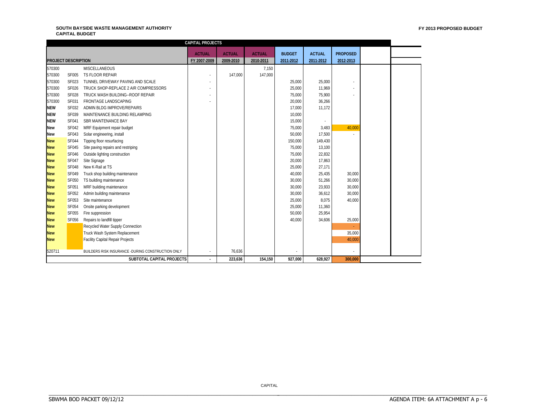#### **SOUTH BAYSIDE WASTE MANAGEMENT AUTHORITY CAPITAL BUDGET**

|                            |              |                                                    | <b>CAPITAL PROJECTS</b> |               |               |               |               |                 |  |
|----------------------------|--------------|----------------------------------------------------|-------------------------|---------------|---------------|---------------|---------------|-----------------|--|
|                            |              |                                                    | <b>ACTUAL</b>           | <b>ACTUAL</b> | <b>ACTUAL</b> | <b>BUDGET</b> | <b>ACTUAL</b> | <b>PROPOSED</b> |  |
| <b>PROJECT DESCRIPTION</b> |              |                                                    | FY 2007-2009            | 2009-2010     | 2010-2011     | 2011-2012     | 2011-2012     | 2012-2013       |  |
| 570300                     |              | <b>MISCELLANEOUS</b>                               |                         |               | 7,150         |               |               |                 |  |
| 570300                     | <b>SF005</b> | TS FLOOR REPAIR                                    |                         | 147,000       | 147,000       |               |               |                 |  |
| 570300                     | SF023        | TUNNEL DRIVEWAY PAVING AND SCALE                   |                         |               |               | 25,000        | 25,000        |                 |  |
| 570300                     | SF026        | TRUCK SHOP-REPLACE 2 AIR COMPRESSORS               |                         |               |               | 25,000        | 11,969        |                 |  |
| 570300                     | <b>SF028</b> | TRUCK WASH BUILDING--ROOF REPAIR                   |                         |               |               | 75.000        | 75,900        |                 |  |
| 570300                     | SF031        | <b>FRONTAGE LANDSCAPING</b>                        |                         |               |               | 20,000        | 36,266        |                 |  |
| <b>NEW</b>                 | SF032        | ADMIN BLDG IMPROVE/REPAIRS                         |                         |               |               | 17,000        | 11,172        |                 |  |
| <b>NEW</b>                 | SF039        | MAINTENANCE BUILDING RELAMPING                     |                         |               |               | 10,000        |               |                 |  |
| <b>NEW</b>                 | SF041        | SBR MAINTENANCE BAY                                |                         |               |               | 15,000        |               |                 |  |
| <b>New</b>                 | <b>SF042</b> | MRF Equipment repair budget                        |                         |               |               | 75,000        | 3,483         | 40,000          |  |
| New                        | <b>SF043</b> | Solar engineering, install                         |                         |               |               | 50,000        | 17,500        |                 |  |
| <b>New</b>                 | <b>SF044</b> | Tipping floor resurfacing                          |                         |               |               | 150,000       | 149,430       |                 |  |
| <b>New</b>                 | <b>SF045</b> | Site paving repairs and restriping                 |                         |               |               | 75.000        | 13,100        |                 |  |
| <b>New</b>                 | <b>SF046</b> | Outside lighting construction                      |                         |               |               | 75,000        | 22,832        |                 |  |
| <b>New</b>                 | <b>SF047</b> | Site Signage                                       |                         |               |               | 20,000        | 17,863        |                 |  |
| <b>New</b>                 | <b>SF048</b> | New K-Rail at TS                                   |                         |               |               | 25,000        | 27,171        |                 |  |
| <b>New</b>                 | <b>SF049</b> | Truck shop building maintenance                    |                         |               |               | 40,000        | 25,435        | 30,000          |  |
| <b>New</b>                 | <b>SF050</b> | TS building maintenance                            |                         |               |               | 30,000        | 51,266        | 30,000          |  |
| <b>New</b>                 | <b>SF051</b> | MRF building maintenance                           |                         |               |               | 30,000        | 23,933        | 30,000          |  |
| <b>New</b>                 | SF052        | Admin building maintenance                         |                         |               |               | 30,000        | 36,612        | 30,000          |  |
| <b>New</b>                 | SF053        | Site maintenance                                   |                         |               |               | 25,000        | 8,075         | 40,000          |  |
| <b>New</b>                 | <b>SF054</b> | Onsite parking development                         |                         |               |               | 25,000        | 11,360        |                 |  |
| <b>New</b>                 | <b>SF055</b> | Fire suppression                                   |                         |               |               | 50,000        | 25,954        |                 |  |
| <b>New</b>                 | <b>SF056</b> | Repairs to landfill tipper                         |                         |               |               | 40,000        | 34,606        | 25,000          |  |
| <b>New</b>                 |              | Recycled Water Supply Connection                   |                         |               |               |               |               | ÷               |  |
| <b>New</b>                 |              | Truck Wash System Replacement                      |                         |               |               |               |               | 35,000          |  |
| <b>New</b>                 |              | <b>Facility Capital Repair Projects</b>            |                         |               |               |               |               | 40,000          |  |
|                            |              |                                                    |                         |               |               |               |               |                 |  |
| 520711                     |              | BUILDERS RISK INSURANCE - DURING CONSTRUCTION ONLY |                         | 76,636        |               |               |               |                 |  |
|                            |              | SUBTOTAL CAPITAL PROJECTS                          |                         | 223,636       | 154,150       | 927,000       | 628,927       | 300,000         |  |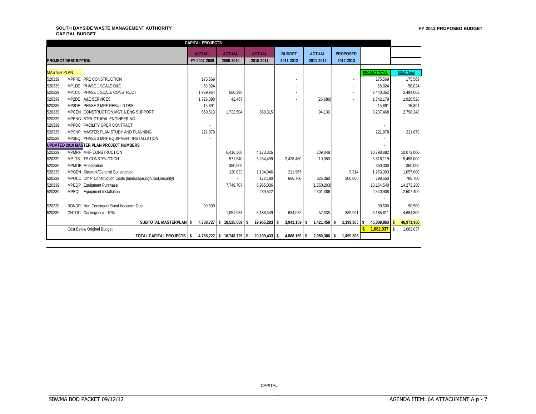#### **SOUTH BAYSIDE WASTE MANAGEMENT AUTHORITY CAPITAL BUDGET**

| <b>ACTUAL</b><br><b>ACTUAL</b><br><b>ACTUAL</b><br><b>ACTUAL</b><br><b>BUDGET</b><br><b>PROPOSED</b><br><b>PROJECT DESCRIPTION</b><br>FY 2007-2009<br>2011-2012<br>2011-2012<br>2012-2013<br>2009-2010<br>2010-2011<br><b>MASTER PLAN</b><br><b>BOND Total</b><br><b>PROJECT TOTAL</b><br>520339<br>175.569<br>175,569<br>MPPRE PRE CONSTRUCTION<br>520339<br>MP1DE PHASE 1 SCALE D&E<br>58,024<br>58,024<br>$\sim$<br>520339<br>1.939.954<br>500.398<br>MP1CN PHASE 1 SCALE CONSTRUCT<br>2,440,352<br>520339<br>MP2DE A&E SERVICES<br>42,467<br>1,726,398<br>(26, 686)<br>1,742,179<br>520339<br>MP3DE PHASE 2 MRF REBUILD D&E<br>15,891<br>15,891<br>520339<br>MPCEN CONSTRUCTION MGT & ENG SUPPORT<br>1,722,504<br>860,315<br>94,136<br>3,237,468<br>560,513<br>520339<br>MPENG STRUCTURAL ENGINEERING<br>520339<br>MPFOC FACILITY OPER CONTRACT<br>520339<br>221,878<br>221,878<br>MPSNP MASTER PLAN STUDY AND PLANNING<br>520339<br>MP3EQ PHASE 3 MRF EQUIPMENT INSTALLATION<br><b>UPDATED 2010 MASTER PLAN PROJECT NUMBERS</b><br>520339<br>MPMRF MRF CONSTRUCTION<br>4,173,326<br>209,048<br>10,798,882<br>6,416,508<br>520339<br>MP TS TS CONSTRUCTION<br>571.540<br>3,234,499<br>2,428,460<br>10,080<br>3,816,119<br>520339<br>MPMOB Mobilization<br>350,000<br>350,000<br>520339<br>MPGEN Sitework/General Construction<br>9,314<br>120,033<br>211.967<br>1,263,393<br>1,134,046<br>520339<br>300,000<br>798,550<br>MPOCC Other Construction Costs (landscape, sign, roof, security)<br>172,190<br>666,700<br>326,360<br>520339<br>MPEQP Equipment Purchase<br>7,749,707<br>6,955,036<br>(1,550,203)<br>13,154,540<br>520339<br>239,522<br>MPEQI Equipment Installation<br>2,301,386<br>2,540,908<br>BONDR Non-Contingent Bond Issuance Cost<br>90,500<br>90,500<br>520320<br>520339<br>CNTGC Contingency - 10%<br>1,051,933<br>57,338<br>889,991<br>3,186,349<br>634,032<br>5,185,611<br>SUBTOTAL MASTERPLAN \$<br>18,525,089 \$<br>19,955,283 \$<br>45,889,863 \$<br>46,971,900<br>4,788,727<br>3,941,159<br>$1,421,459$ \$<br>1,199,305<br>l \$<br>l \$<br>s.<br>1,082,037<br>Cost Below Original Budget<br>1,082,037<br>$\mathbf{s}$<br>$\mathsf{\$}$<br>TOTAL CAPITAL PROJECTS   \$<br>4,788,727 \$ 18,748,725 \$<br>20,109,433 \$<br>4,868,159 \$<br>$2,050,386$ \$<br>1,499,305 |  | <b>CAPITAL PROJECTS</b> |  |  |  |            |
|--------------------------------------------------------------------------------------------------------------------------------------------------------------------------------------------------------------------------------------------------------------------------------------------------------------------------------------------------------------------------------------------------------------------------------------------------------------------------------------------------------------------------------------------------------------------------------------------------------------------------------------------------------------------------------------------------------------------------------------------------------------------------------------------------------------------------------------------------------------------------------------------------------------------------------------------------------------------------------------------------------------------------------------------------------------------------------------------------------------------------------------------------------------------------------------------------------------------------------------------------------------------------------------------------------------------------------------------------------------------------------------------------------------------------------------------------------------------------------------------------------------------------------------------------------------------------------------------------------------------------------------------------------------------------------------------------------------------------------------------------------------------------------------------------------------------------------------------------------------------------------------------------------------------------------------------------------------------------------------------------------------------------------------------------------------------------------------------------------------------------------------------------------------------------------------------------------------------------------------------------------------------------------------------------|--|-------------------------|--|--|--|------------|
|                                                                                                                                                                                                                                                                                                                                                                                                                                                                                                                                                                                                                                                                                                                                                                                                                                                                                                                                                                                                                                                                                                                                                                                                                                                                                                                                                                                                                                                                                                                                                                                                                                                                                                                                                                                                                                                                                                                                                                                                                                                                                                                                                                                                                                                                                                  |  |                         |  |  |  |            |
|                                                                                                                                                                                                                                                                                                                                                                                                                                                                                                                                                                                                                                                                                                                                                                                                                                                                                                                                                                                                                                                                                                                                                                                                                                                                                                                                                                                                                                                                                                                                                                                                                                                                                                                                                                                                                                                                                                                                                                                                                                                                                                                                                                                                                                                                                                  |  |                         |  |  |  |            |
|                                                                                                                                                                                                                                                                                                                                                                                                                                                                                                                                                                                                                                                                                                                                                                                                                                                                                                                                                                                                                                                                                                                                                                                                                                                                                                                                                                                                                                                                                                                                                                                                                                                                                                                                                                                                                                                                                                                                                                                                                                                                                                                                                                                                                                                                                                  |  |                         |  |  |  |            |
|                                                                                                                                                                                                                                                                                                                                                                                                                                                                                                                                                                                                                                                                                                                                                                                                                                                                                                                                                                                                                                                                                                                                                                                                                                                                                                                                                                                                                                                                                                                                                                                                                                                                                                                                                                                                                                                                                                                                                                                                                                                                                                                                                                                                                                                                                                  |  |                         |  |  |  |            |
|                                                                                                                                                                                                                                                                                                                                                                                                                                                                                                                                                                                                                                                                                                                                                                                                                                                                                                                                                                                                                                                                                                                                                                                                                                                                                                                                                                                                                                                                                                                                                                                                                                                                                                                                                                                                                                                                                                                                                                                                                                                                                                                                                                                                                                                                                                  |  |                         |  |  |  | 175,569    |
|                                                                                                                                                                                                                                                                                                                                                                                                                                                                                                                                                                                                                                                                                                                                                                                                                                                                                                                                                                                                                                                                                                                                                                                                                                                                                                                                                                                                                                                                                                                                                                                                                                                                                                                                                                                                                                                                                                                                                                                                                                                                                                                                                                                                                                                                                                  |  |                         |  |  |  | 58,024     |
|                                                                                                                                                                                                                                                                                                                                                                                                                                                                                                                                                                                                                                                                                                                                                                                                                                                                                                                                                                                                                                                                                                                                                                                                                                                                                                                                                                                                                                                                                                                                                                                                                                                                                                                                                                                                                                                                                                                                                                                                                                                                                                                                                                                                                                                                                                  |  |                         |  |  |  | 2,494,062  |
|                                                                                                                                                                                                                                                                                                                                                                                                                                                                                                                                                                                                                                                                                                                                                                                                                                                                                                                                                                                                                                                                                                                                                                                                                                                                                                                                                                                                                                                                                                                                                                                                                                                                                                                                                                                                                                                                                                                                                                                                                                                                                                                                                                                                                                                                                                  |  |                         |  |  |  | 1,928,528  |
|                                                                                                                                                                                                                                                                                                                                                                                                                                                                                                                                                                                                                                                                                                                                                                                                                                                                                                                                                                                                                                                                                                                                                                                                                                                                                                                                                                                                                                                                                                                                                                                                                                                                                                                                                                                                                                                                                                                                                                                                                                                                                                                                                                                                                                                                                                  |  |                         |  |  |  | 15,891     |
|                                                                                                                                                                                                                                                                                                                                                                                                                                                                                                                                                                                                                                                                                                                                                                                                                                                                                                                                                                                                                                                                                                                                                                                                                                                                                                                                                                                                                                                                                                                                                                                                                                                                                                                                                                                                                                                                                                                                                                                                                                                                                                                                                                                                                                                                                                  |  |                         |  |  |  | 2,798,348  |
|                                                                                                                                                                                                                                                                                                                                                                                                                                                                                                                                                                                                                                                                                                                                                                                                                                                                                                                                                                                                                                                                                                                                                                                                                                                                                                                                                                                                                                                                                                                                                                                                                                                                                                                                                                                                                                                                                                                                                                                                                                                                                                                                                                                                                                                                                                  |  |                         |  |  |  |            |
|                                                                                                                                                                                                                                                                                                                                                                                                                                                                                                                                                                                                                                                                                                                                                                                                                                                                                                                                                                                                                                                                                                                                                                                                                                                                                                                                                                                                                                                                                                                                                                                                                                                                                                                                                                                                                                                                                                                                                                                                                                                                                                                                                                                                                                                                                                  |  |                         |  |  |  |            |
|                                                                                                                                                                                                                                                                                                                                                                                                                                                                                                                                                                                                                                                                                                                                                                                                                                                                                                                                                                                                                                                                                                                                                                                                                                                                                                                                                                                                                                                                                                                                                                                                                                                                                                                                                                                                                                                                                                                                                                                                                                                                                                                                                                                                                                                                                                  |  |                         |  |  |  | 221,878    |
|                                                                                                                                                                                                                                                                                                                                                                                                                                                                                                                                                                                                                                                                                                                                                                                                                                                                                                                                                                                                                                                                                                                                                                                                                                                                                                                                                                                                                                                                                                                                                                                                                                                                                                                                                                                                                                                                                                                                                                                                                                                                                                                                                                                                                                                                                                  |  |                         |  |  |  |            |
|                                                                                                                                                                                                                                                                                                                                                                                                                                                                                                                                                                                                                                                                                                                                                                                                                                                                                                                                                                                                                                                                                                                                                                                                                                                                                                                                                                                                                                                                                                                                                                                                                                                                                                                                                                                                                                                                                                                                                                                                                                                                                                                                                                                                                                                                                                  |  |                         |  |  |  |            |
|                                                                                                                                                                                                                                                                                                                                                                                                                                                                                                                                                                                                                                                                                                                                                                                                                                                                                                                                                                                                                                                                                                                                                                                                                                                                                                                                                                                                                                                                                                                                                                                                                                                                                                                                                                                                                                                                                                                                                                                                                                                                                                                                                                                                                                                                                                  |  |                         |  |  |  | 10,072,000 |
|                                                                                                                                                                                                                                                                                                                                                                                                                                                                                                                                                                                                                                                                                                                                                                                                                                                                                                                                                                                                                                                                                                                                                                                                                                                                                                                                                                                                                                                                                                                                                                                                                                                                                                                                                                                                                                                                                                                                                                                                                                                                                                                                                                                                                                                                                                  |  |                         |  |  |  | 5,458,000  |
|                                                                                                                                                                                                                                                                                                                                                                                                                                                                                                                                                                                                                                                                                                                                                                                                                                                                                                                                                                                                                                                                                                                                                                                                                                                                                                                                                                                                                                                                                                                                                                                                                                                                                                                                                                                                                                                                                                                                                                                                                                                                                                                                                                                                                                                                                                  |  |                         |  |  |  | 350,000    |
|                                                                                                                                                                                                                                                                                                                                                                                                                                                                                                                                                                                                                                                                                                                                                                                                                                                                                                                                                                                                                                                                                                                                                                                                                                                                                                                                                                                                                                                                                                                                                                                                                                                                                                                                                                                                                                                                                                                                                                                                                                                                                                                                                                                                                                                                                                  |  |                         |  |  |  | 1,057,000  |
|                                                                                                                                                                                                                                                                                                                                                                                                                                                                                                                                                                                                                                                                                                                                                                                                                                                                                                                                                                                                                                                                                                                                                                                                                                                                                                                                                                                                                                                                                                                                                                                                                                                                                                                                                                                                                                                                                                                                                                                                                                                                                                                                                                                                                                                                                                  |  |                         |  |  |  | 786,700    |
|                                                                                                                                                                                                                                                                                                                                                                                                                                                                                                                                                                                                                                                                                                                                                                                                                                                                                                                                                                                                                                                                                                                                                                                                                                                                                                                                                                                                                                                                                                                                                                                                                                                                                                                                                                                                                                                                                                                                                                                                                                                                                                                                                                                                                                                                                                  |  |                         |  |  |  | 14,273,200 |
|                                                                                                                                                                                                                                                                                                                                                                                                                                                                                                                                                                                                                                                                                                                                                                                                                                                                                                                                                                                                                                                                                                                                                                                                                                                                                                                                                                                                                                                                                                                                                                                                                                                                                                                                                                                                                                                                                                                                                                                                                                                                                                                                                                                                                                                                                                  |  |                         |  |  |  | 2,507,400  |
|                                                                                                                                                                                                                                                                                                                                                                                                                                                                                                                                                                                                                                                                                                                                                                                                                                                                                                                                                                                                                                                                                                                                                                                                                                                                                                                                                                                                                                                                                                                                                                                                                                                                                                                                                                                                                                                                                                                                                                                                                                                                                                                                                                                                                                                                                                  |  |                         |  |  |  |            |
|                                                                                                                                                                                                                                                                                                                                                                                                                                                                                                                                                                                                                                                                                                                                                                                                                                                                                                                                                                                                                                                                                                                                                                                                                                                                                                                                                                                                                                                                                                                                                                                                                                                                                                                                                                                                                                                                                                                                                                                                                                                                                                                                                                                                                                                                                                  |  |                         |  |  |  | 90,500     |
|                                                                                                                                                                                                                                                                                                                                                                                                                                                                                                                                                                                                                                                                                                                                                                                                                                                                                                                                                                                                                                                                                                                                                                                                                                                                                                                                                                                                                                                                                                                                                                                                                                                                                                                                                                                                                                                                                                                                                                                                                                                                                                                                                                                                                                                                                                  |  |                         |  |  |  | 4,684,800  |
|                                                                                                                                                                                                                                                                                                                                                                                                                                                                                                                                                                                                                                                                                                                                                                                                                                                                                                                                                                                                                                                                                                                                                                                                                                                                                                                                                                                                                                                                                                                                                                                                                                                                                                                                                                                                                                                                                                                                                                                                                                                                                                                                                                                                                                                                                                  |  |                         |  |  |  |            |
|                                                                                                                                                                                                                                                                                                                                                                                                                                                                                                                                                                                                                                                                                                                                                                                                                                                                                                                                                                                                                                                                                                                                                                                                                                                                                                                                                                                                                                                                                                                                                                                                                                                                                                                                                                                                                                                                                                                                                                                                                                                                                                                                                                                                                                                                                                  |  |                         |  |  |  |            |
|                                                                                                                                                                                                                                                                                                                                                                                                                                                                                                                                                                                                                                                                                                                                                                                                                                                                                                                                                                                                                                                                                                                                                                                                                                                                                                                                                                                                                                                                                                                                                                                                                                                                                                                                                                                                                                                                                                                                                                                                                                                                                                                                                                                                                                                                                                  |  |                         |  |  |  |            |
|                                                                                                                                                                                                                                                                                                                                                                                                                                                                                                                                                                                                                                                                                                                                                                                                                                                                                                                                                                                                                                                                                                                                                                                                                                                                                                                                                                                                                                                                                                                                                                                                                                                                                                                                                                                                                                                                                                                                                                                                                                                                                                                                                                                                                                                                                                  |  |                         |  |  |  |            |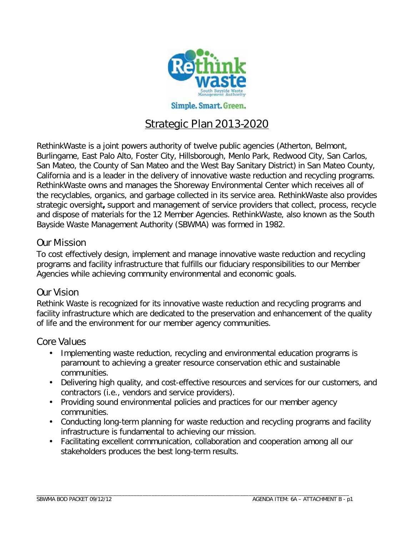

# Strategic Plan 2013-2020

RethinkWaste is a joint powers authority of twelve public agencies (Atherton, Belmont, Burlingame, East Palo Alto, Foster City, Hillsborough, Menlo Park, Redwood City, San Carlos, San Mateo, the County of San Mateo and the West Bay Sanitary District) in San Mateo County, California and is a leader in the delivery of innovative waste reduction and recycling programs. RethinkWaste owns and manages the Shoreway Environmental Center which receives all of the recyclables, organics, and garbage collected in its service area. RethinkWaste also provides strategic oversight**,** support and management of service providers that collect, process, recycle and dispose of materials for the 12 Member Agencies. RethinkWaste, also known as the South Bayside Waste Management Authority (SBWMA) was formed in 1982.

## Our Mission

To cost effectively design, implement and manage innovative waste reduction and recycling programs and facility infrastructure that fulfills our fiduciary responsibilities to our Member Agencies while achieving community environmental and economic goals.

## Our Vision

Rethink Waste is recognized for its innovative waste reduction and recycling programs and facility infrastructure which are dedicated to the preservation and enhancement of the quality of life and the environment for our member agency communities.

## Core Values

- Implementing waste reduction, recycling and environmental education programs is paramount to achieving a greater resource conservation ethic and sustainable communities.
- Delivering high quality, and cost-effective resources and services for our customers, and contractors (i.e., vendors and service providers).
- Providing sound environmental policies and practices for our member agency  $\mathbf{r}$ communities.
- Conducting long-term planning for waste reduction and recycling programs and facility infrastructure is fundamental to achieving our mission.
- Facilitating excellent communication, collaboration and cooperation among all our stakeholders produces the best long-term results.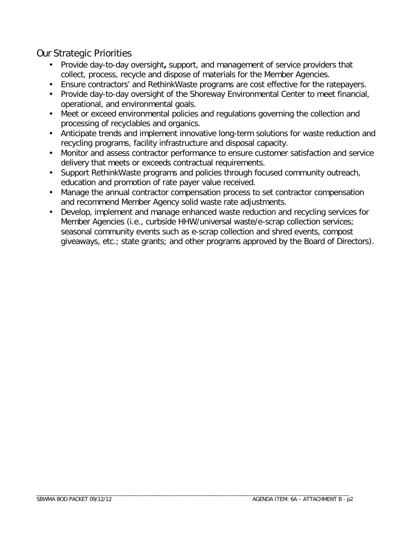# Our Strategic Priorities

- Provide day-to-day oversight**,** support, and management of service providers that collect, process, recycle and dispose of materials for the Member Agencies.
- Ensure contractors' and RethinkWaste programs are cost effective for the ratepayers.
- Provide day-to-day oversight of the Shoreway Environmental Center to meet financial, operational, and environmental goals.
- Meet or exceed environmental policies and regulations governing the collection and processing of recyclables and organics.
- Anticipate trends and implement innovative long-term solutions for waste reduction and  $\mathcal{L}^{\text{max}}$ recycling programs, facility infrastructure and disposal capacity.
- Monitor and assess contractor performance to ensure customer satisfaction and service delivery that meets or exceeds contractual requirements.
- Support RethinkWaste programs and policies through focused community outreach, education and promotion of rate payer value received.
- Manage the annual contractor compensation process to set contractor compensation and recommend Member Agency solid waste rate adjustments.
- Develop, implement and manage enhanced waste reduction and recycling services for Member Agencies (i.e., curbside HHW/universal waste/e-scrap collection services; seasonal community events such as e-scrap collection and shred events, compost giveaways, etc.; state grants; and other programs approved by the Board of Directors).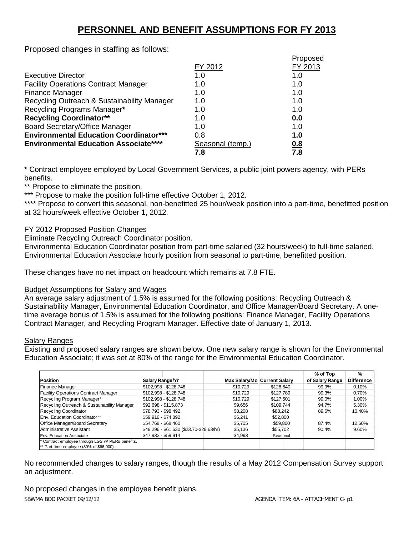# **PERSONNEL AND BENEFIT ASSUMPTIONS FOR FY 2013**

Proposed changes in staffing as follows:

|                                               |                  | Proposed |
|-----------------------------------------------|------------------|----------|
|                                               | FY 2012          | FY 2013  |
| <b>Executive Director</b>                     | 1.0              | 1.0      |
| <b>Facility Operations Contract Manager</b>   | 1.0              | 1.0      |
| <b>Finance Manager</b>                        | 1. $\Omega$      | 1.0      |
| Recycling Outreach & Sustainability Manager   | 1.0              | 1.0      |
| Recycling Programs Manager*                   | 1.0              | 1.0      |
| <b>Recycling Coordinator**</b>                | 1.0              | 0.0      |
| <b>Board Secretary/Office Manager</b>         | 1. $\Omega$      | 1.0      |
| <b>Environmental Education Coordinator***</b> | 0.8              | 1.0      |
| <b>Environmental Education Associate****</b>  | Seasonal (temp.) | 0.8      |
|                                               | 7.8              | 7.8      |

**\*** Contract employee employed by Local Government Services, a public joint powers agency, with PERs benefits.

\*\* Propose to eliminate the position.

\*\*\* Propose to make the position full-time effective October 1, 2012.

\*\*\*\* Propose to convert this seasonal, non-benefitted 25 hour/week position into a part-time, benefitted position at 32 hours/week effective October 1, 2012.

#### FY 2012 Proposed Position Changes

Eliminate Recycling Outreach Coordinator position.

Environmental Education Coordinator position from part-time salaried (32 hours/week) to full-time salaried. Environmental Education Associate hourly position from seasonal to part-time, benefitted position.

These changes have no net impact on headcount which remains at 7.8 FTE.

#### Budget Assumptions for Salary and Wages

An average salary adjustment of 1.5% is assumed for the following positions: Recycling Outreach & Sustainability Manager, Environmental Education Coordinator, and Office Manager/Board Secretary. A onetime average bonus of 1.5% is assumed for the following positions: Finance Manager, Facility Operations Contract Manager, and Recycling Program Manager. Effective date of January 1, 2013.

#### Salary Ranges

Existing and proposed salary ranges are shown below. One new salary range is shown for the Environmental Education Associate; it was set at 80% of the range for the Environmental Education Coordinator.

|                                                 |                       |                                          |                              |           | % of Top        | $\frac{9}{6}$     |
|-------------------------------------------------|-----------------------|------------------------------------------|------------------------------|-----------|-----------------|-------------------|
| Position                                        | Salary Range/Yr       |                                          | Max Salary/Mo Current Salary |           | of Salary Range | <b>Difference</b> |
| <b>Finance Manager</b>                          | \$102,998 - \$128,748 |                                          | \$10,729                     | \$128,640 | 99.9%           | 0.10%             |
| <b>Facility Operations Contract Manager</b>     | \$102,998 - \$128,748 |                                          | \$10,729                     | \$127.789 | 99.3%           | 0.70%             |
| Recycling Program Manager*                      | \$102,998 - \$128,748 |                                          | \$10,729                     | \$127,501 | 99.0%           | 1.00%             |
| Recycling Outreach & Sustainability Manager     | \$92,698 - \$115,873  |                                          | \$9,656                      | \$109.744 | 94.7%           | 5.30%             |
| Recycling Coordinator                           | \$78,793 - \$98,492   |                                          | \$8,208                      | \$88,242  | 89.6%           | 10.40%            |
| Env. Education Coordinator**                    | \$59,916 - \$74,892   |                                          | \$6.241                      | \$52,800  |                 |                   |
| Office Manager/Board Secretary                  | \$54,768 - \$68,460   |                                          | \$5,705                      | \$59,800  | 87.4%           | 12.60%            |
| Administrative Assistant                        |                       | \$49,296 - \$61,630 (\$23.70-\$29.63/hr) | \$5,136                      | \$55,702  | 90.4%           | 9.60%             |
| Env. Education Associate                        | \$47,933 - \$59,914   |                                          | \$4,993                      | Seasonal  |                 |                   |
| Contract employee through LGS w/ PERs benefits. |                       |                                          |                              |           |                 |                   |
| ** Part-time employee (80% of \$66,000).        |                       |                                          |                              |           |                 |                   |

No recommended changes to salary ranges, though the results of a May 2012 Compensation Survey support an adjustment.

No proposed changes in the employee benefit plans.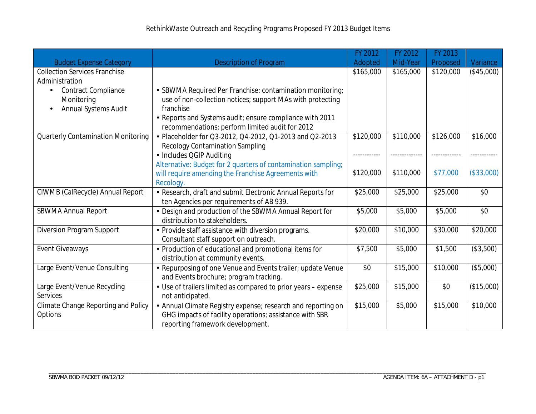|                                                        |                                                                                                                       | FY 2012   | FY 2012   | FY 2013   |            |
|--------------------------------------------------------|-----------------------------------------------------------------------------------------------------------------------|-----------|-----------|-----------|------------|
| <b>Budget Expense Category</b>                         | <b>Description of Program</b>                                                                                         | Adopted   | Mid-Year  | Proposed  | Variance   |
| <b>Collection Services Franchise</b><br>Administration |                                                                                                                       | \$165,000 | \$165,000 | \$120,000 | (\$45,000) |
|                                                        |                                                                                                                       |           |           |           |            |
| <b>Contract Compliance</b><br>Monitoring               | SBWMA Required Per Franchise: contamination monitoring;<br>use of non-collection notices; support MAs with protecting |           |           |           |            |
| Annual Systems Audit                                   | franchise                                                                                                             |           |           |           |            |
|                                                        | Reports and Systems audit; ensure compliance with 2011                                                                |           |           |           |            |
|                                                        | recommendations; perform limited audit for 2012                                                                       |           |           |           |            |
| <b>Quarterly Contamination Monitoring</b>              | Placeholder for Q3-2012, Q4-2012, Q1-2013 and Q2-2013                                                                 | \$120,000 | \$110,000 | \$126,000 | \$16,000   |
|                                                        | <b>Recology Contamination Sampling</b>                                                                                |           |           |           |            |
|                                                        | · Includes QGIP Auditing                                                                                              |           |           |           |            |
|                                                        | Alternative: Budget for 2 quarters of contamination sampling;                                                         |           |           |           |            |
|                                                        | will require amending the Franchise Agreements with                                                                   | \$120,000 | \$110,000 | \$77,000  | (\$33,000) |
|                                                        | Recology.                                                                                                             |           |           |           |            |
| CIWMB (CalRecycle) Annual Report                       | Research, draft and submit Electronic Annual Reports for                                                              | \$25,000  | \$25,000  | \$25,000  | \$0        |
|                                                        | ten Agencies per requirements of AB 939.                                                                              |           |           |           |            |
| <b>SBWMA Annual Report</b>                             | Design and production of the SBWMA Annual Report for                                                                  | \$5,000   | \$5,000   | \$5,000   | \$0        |
|                                                        | distribution to stakeholders.                                                                                         |           |           |           |            |
| <b>Diversion Program Support</b>                       | Provide staff assistance with diversion programs.                                                                     | \$20,000  | \$10,000  | \$30,000  | \$20,000   |
|                                                        | Consultant staff support on outreach.                                                                                 |           |           |           |            |
| <b>Event Giveaways</b>                                 | Production of educational and promotional items for                                                                   | \$7,500   | \$5,000   | \$1,500   | (\$3,500)  |
|                                                        | distribution at community events.                                                                                     |           |           |           |            |
| Large Event/Venue Consulting                           | Repurposing of one Venue and Events trailer; update Venue                                                             | \$0       | \$15,000  | \$10,000  | (\$5,000)  |
|                                                        | and Events brochure; program tracking.                                                                                |           |           |           |            |
| Large Event/Venue Recycling                            | Use of trailers limited as compared to prior years - expense                                                          | \$25,000  | \$15,000  | \$0       | (\$15,000) |
| Services                                               | not anticipated.                                                                                                      |           |           |           |            |
| Climate Change Reporting and Policy                    | Annual Climate Registry expense; research and reporting on                                                            | \$15,000  | \$5,000   | \$15,000  | \$10,000   |
| Options                                                | GHG impacts of facility operations; assistance with SBR                                                               |           |           |           |            |
|                                                        | reporting framework development.                                                                                      |           |           |           |            |

\_\_\_\_\_\_\_\_\_\_\_\_\_\_\_\_\_\_\_\_\_\_\_\_\_\_\_\_\_\_\_\_\_\_\_\_\_\_\_\_\_\_\_\_\_\_\_\_\_\_\_\_\_\_\_\_\_\_\_\_\_\_\_\_\_\_\_\_\_\_\_\_\_\_\_\_\_\_\_\_\_\_\_\_\_\_\_\_\_\_\_\_\_\_\_\_\_\_\_\_\_\_\_\_\_\_\_\_\_\_\_\_\_\_\_\_\_\_\_\_\_\_\_\_\_\_\_\_\_\_\_\_\_\_\_\_\_\_\_\_\_\_\_\_\_\_\_\_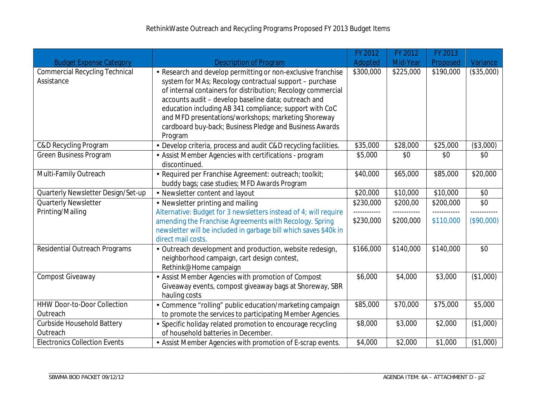|                                                     |                                                                                                                                                                                                                                                                                                                                                                                                                                       | FY 2012                   | FY 2012   | FY 2013   |              |
|-----------------------------------------------------|---------------------------------------------------------------------------------------------------------------------------------------------------------------------------------------------------------------------------------------------------------------------------------------------------------------------------------------------------------------------------------------------------------------------------------------|---------------------------|-----------|-----------|--------------|
| <b>Budget Expense Category</b>                      | <b>Description of Program</b>                                                                                                                                                                                                                                                                                                                                                                                                         | Adopted                   | Mid-Year  | Proposed  | Variance     |
| <b>Commercial Recycling Technical</b><br>Assistance | Research and develop permitting or non-exclusive franchise<br>system for MAs; Recology contractual support - purchase<br>of internal containers for distribution; Recology commercial<br>accounts audit - develop baseline data; outreach and<br>education including AB 341 compliance; support with CoC<br>and MFD presentations/workshops; marketing Shoreway<br>cardboard buy-back; Business Pledge and Business Awards<br>Program | \$300,000                 | \$225,000 | \$190,000 | (\$35,000)   |
| C&D Recycling Program                               | Develop criteria, process and audit C&D recycling facilities.                                                                                                                                                                                                                                                                                                                                                                         | \$35,000                  | \$28,000  | \$25,000  | (\$3,000)    |
| <b>Green Business Program</b>                       | Assist Member Agencies with certifications - program<br>discontinued.                                                                                                                                                                                                                                                                                                                                                                 | \$5,000                   | \$0       | \$0       | \$0          |
| Multi-Family Outreach                               | Required per Franchise Agreement: outreach; toolkit;<br>buddy bags; case studies; MFD Awards Program                                                                                                                                                                                                                                                                                                                                  | \$40,000                  | \$65,000  | \$85,000  | \$20,000     |
| Quarterly Newsletter Design/Set-up                  | Newsletter content and layout                                                                                                                                                                                                                                                                                                                                                                                                         | \$20,000                  | \$10,000  | \$10,000  | \$0          |
| <b>Quarterly Newsletter</b>                         | • Newsletter printing and mailing                                                                                                                                                                                                                                                                                                                                                                                                     | \$230,000                 | \$200,00  | \$200,000 | \$0          |
| Printing/Mailing                                    | Alternative: Budget for 3 newsletters instead of 4; will require<br>amending the Franchise Agreements with Recology. Spring<br>newsletter will be included in garbage bill which saves \$40k in<br>direct mail costs.                                                                                                                                                                                                                 | ------------<br>\$230,000 | \$200,000 | \$110,000 | (\$90,000)   |
| Residential Outreach Programs                       | Outreach development and production, website redesign,<br>neighborhood campaign, cart design contest,<br>Rethink@Home campaign                                                                                                                                                                                                                                                                                                        | $\overline{$}166,000$     | \$140,000 | \$140,000 | \$0          |
| Compost Giveaway                                    | Assist Member Agencies with promotion of Compost<br>Giveaway events, compost giveaway bags at Shoreway, SBR<br>hauling costs                                                                                                                                                                                                                                                                                                          | \$6,000                   | \$4,000   | \$3,000   | (\$1,000)    |
| HHW Door-to-Door Collection<br>Outreach             | Commence "rolling" public education/marketing campaign<br>to promote the services to participating Member Agencies.                                                                                                                                                                                                                                                                                                                   | \$85,000                  | \$70,000  | \$75,000  | \$5,000      |
| Curbside Household Battery<br>Outreach              | Specific holiday related promotion to encourage recycling<br>of household batteries in December.                                                                                                                                                                                                                                                                                                                                      | \$8,000                   | \$3,000   | \$2,000   | $($ \$1,000) |
| <b>Electronics Collection Events</b>                | Assist Member Agencies with promotion of E-scrap events.                                                                                                                                                                                                                                                                                                                                                                              | \$4,000                   | \$2,000   | \$1,000   | (\$1,000)    |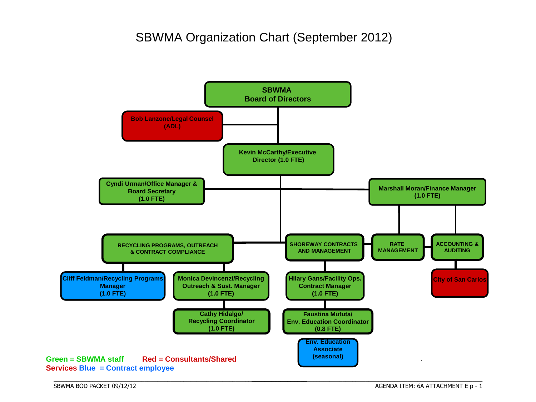# SBWMA Organization Chart (September 2012)